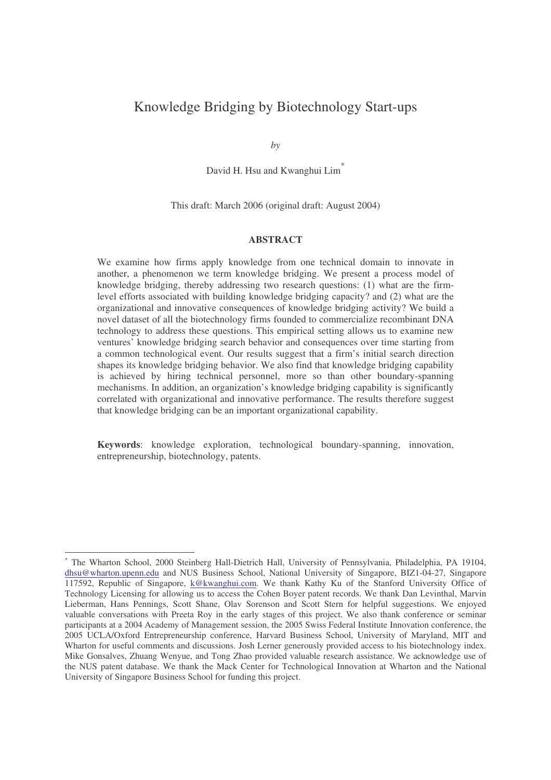## Knowledge Bridging by Biotechnology Start-ups

*by*

David H. Hsu and Kwanghui Lim<sup>\*</sup>

#### This draft: March 2006 (original draft: August 2004)

#### **ABSTRACT**

We examine how firms apply knowledge from one technical domain to innovate in another, a phenomenon we term knowledge bridging. We present a process model of knowledge bridging, thereby addressing two research questions: (1) what are the firmlevel efforts associated with building knowledge bridging capacity? and (2) what are the organizational and innovative consequences of knowledge bridging activity? We build a novel dataset of all the biotechnology firms founded to commercialize recombinant DNA technology to address these questions. This empirical setting allows us to examine new ventures' knowledge bridging search behavior and consequences over time starting from a common technological event. Our results suggest that a firm's initial search direction shapes its knowledge bridging behavior. We also find that knowledge bridging capability is achieved by hiring technical personnel, more so than other boundary-spanning mechanisms. In addition, an organization's knowledge bridging capability is significantly correlated with organizational and innovative performance. The results therefore suggest that knowledge bridging can be an important organizational capability.

**Keywords**: knowledge exploration, technological boundary-spanning, innovation, entrepreneurship, biotechnology, patents.

<sup>\*</sup> The Wharton School, 2000 Steinberg Hall-Dietrich Hall, University of Pennsylvania, Philadelphia, PA 19104, dhsu@wharton.upenn.edu and NUS Business School, National University of Singapore, BIZ1-04-27, Singapore 117592, Republic of Singapore, k@kwanghui.com. We thank Kathy Ku of the Stanford University Office of Technology Licensing for allowing us to access the Cohen Boyer patent records. We thank Dan Levinthal, Marvin Lieberman, Hans Pennings, Scott Shane, Olav Sorenson and Scott Stern for helpful suggestions. We enjoyed valuable conversations with Preeta Roy in the early stages of this project. We also thank conference or seminar participants at a 2004 Academy of Management session, the 2005 Swiss Federal Institute Innovation conference, the 2005 UCLA/Oxford Entrepreneurship conference, Harvard Business School, University of Maryland, MIT and Wharton for useful comments and discussions. Josh Lerner generously provided access to his biotechnology index. Mike Gonsalves, Zhuang Wenyue, and Tong Zhao provided valuable research assistance. We acknowledge use of the NUS patent database. We thank the Mack Center for Technological Innovation at Wharton and the National University of Singapore Business School for funding this project.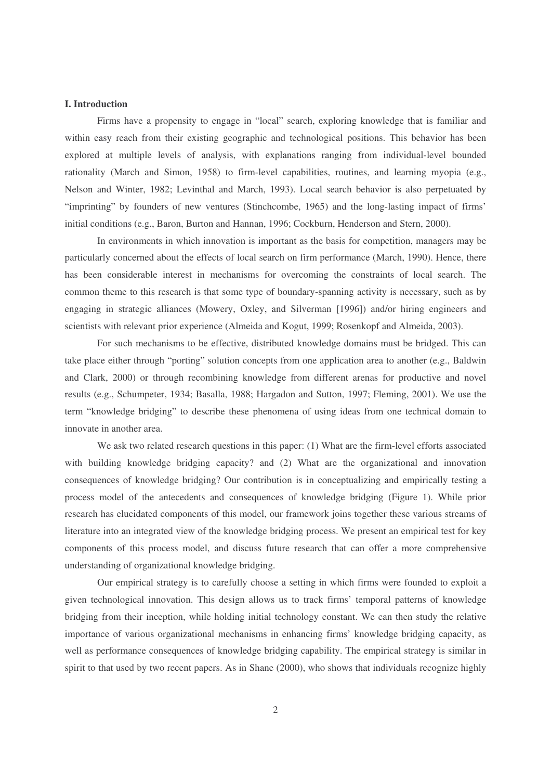#### **I. Introduction**

Firms have a propensity to engage in "local" search, exploring knowledge that is familiar and within easy reach from their existing geographic and technological positions. This behavior has been explored at multiple levels of analysis, with explanations ranging from individual-level bounded rationality (March and Simon, 1958) to firm-level capabilities, routines, and learning myopia (e.g., Nelson and Winter, 1982; Levinthal and March, 1993). Local search behavior is also perpetuated by "imprinting" by founders of new ventures (Stinchcombe, 1965) and the long-lasting impact of firms' initial conditions (e.g., Baron, Burton and Hannan, 1996; Cockburn, Henderson and Stern, 2000).

In environments in which innovation is important as the basis for competition, managers may be particularly concerned about the effects of local search on firm performance (March, 1990). Hence, there has been considerable interest in mechanisms for overcoming the constraints of local search. The common theme to this research is that some type of boundary-spanning activity is necessary, such as by engaging in strategic alliances (Mowery, Oxley, and Silverman [1996]) and/or hiring engineers and scientists with relevant prior experience (Almeida and Kogut, 1999; Rosenkopf and Almeida, 2003).

For such mechanisms to be effective, distributed knowledge domains must be bridged. This can take place either through "porting" solution concepts from one application area to another (e.g., Baldwin and Clark, 2000) or through recombining knowledge from different arenas for productive and novel results (e.g., Schumpeter, 1934; Basalla, 1988; Hargadon and Sutton, 1997; Fleming, 2001). We use the term "knowledge bridging" to describe these phenomena of using ideas from one technical domain to innovate in another area.

We ask two related research questions in this paper: (1) What are the firm-level efforts associated with building knowledge bridging capacity? and (2) What are the organizational and innovation consequences of knowledge bridging? Our contribution is in conceptualizing and empirically testing a process model of the antecedents and consequences of knowledge bridging (Figure 1). While prior research has elucidated components of this model, our framework joins together these various streams of literature into an integrated view of the knowledge bridging process. We present an empirical test for key components of this process model, and discuss future research that can offer a more comprehensive understanding of organizational knowledge bridging.

Our empirical strategy is to carefully choose a setting in which firms were founded to exploit a given technological innovation. This design allows us to track firms' temporal patterns of knowledge bridging from their inception, while holding initial technology constant. We can then study the relative importance of various organizational mechanisms in enhancing firms' knowledge bridging capacity, as well as performance consequences of knowledge bridging capability. The empirical strategy is similar in spirit to that used by two recent papers. As in Shane (2000), who shows that individuals recognize highly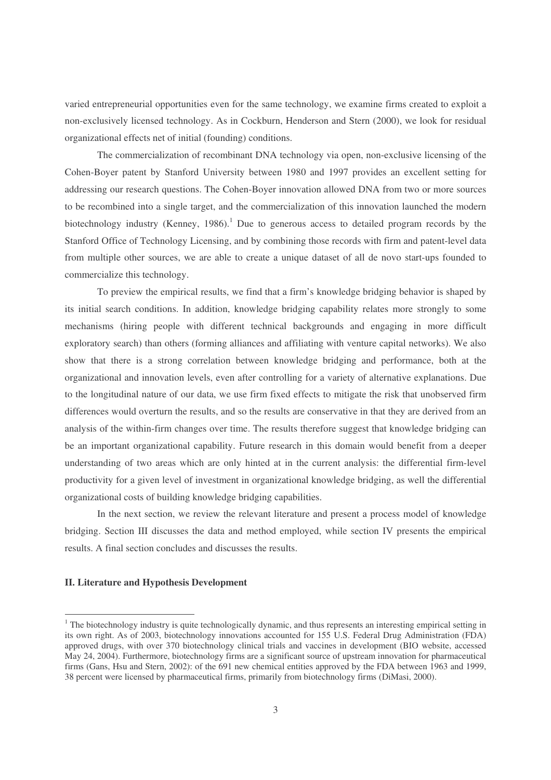varied entrepreneurial opportunities even for the same technology, we examine firms created to exploit a non-exclusively licensed technology. As in Cockburn, Henderson and Stern (2000), we look for residual organizational effects net of initial (founding) conditions.

The commercialization of recombinant DNA technology via open, non-exclusive licensing of the Cohen-Boyer patent by Stanford University between 1980 and 1997 provides an excellent setting for addressing our research questions. The Cohen-Boyer innovation allowed DNA from two or more sources to be recombined into a single target, and the commercialization of this innovation launched the modern biotechnology industry (Kenney, 1986).<sup>1</sup> Due to generous access to detailed program records by the Stanford Office of Technology Licensing, and by combining those records with firm and patent-level data from multiple other sources, we are able to create a unique dataset of all de novo start-ups founded to commercialize this technology.

To preview the empirical results, we find that a firm's knowledge bridging behavior is shaped by its initial search conditions. In addition, knowledge bridging capability relates more strongly to some mechanisms (hiring people with different technical backgrounds and engaging in more difficult exploratory search) than others (forming alliances and affiliating with venture capital networks). We also show that there is a strong correlation between knowledge bridging and performance, both at the organizational and innovation levels, even after controlling for a variety of alternative explanations. Due to the longitudinal nature of our data, we use firm fixed effects to mitigate the risk that unobserved firm differences would overturn the results, and so the results are conservative in that they are derived from an analysis of the within-firm changes over time. The results therefore suggest that knowledge bridging can be an important organizational capability. Future research in this domain would benefit from a deeper understanding of two areas which are only hinted at in the current analysis: the differential firm-level productivity for a given level of investment in organizational knowledge bridging, as well the differential organizational costs of building knowledge bridging capabilities.

In the next section, we review the relevant literature and present a process model of knowledge bridging. Section III discusses the data and method employed, while section IV presents the empirical results. A final section concludes and discusses the results.

#### **II. Literature and Hypothesis Development**

<sup>&</sup>lt;sup>1</sup> The biotechnology industry is quite technologically dynamic, and thus represents an interesting empirical setting in its own right. As of 2003, biotechnology innovations accounted for 155 U.S. Federal Drug Administration (FDA) approved drugs, with over 370 biotechnology clinical trials and vaccines in development (BIO website, accessed May 24, 2004). Furthermore, biotechnology firms are a significant source of upstream innovation for pharmaceutical firms (Gans, Hsu and Stern, 2002): of the 691 new chemical entities approved by the FDA between 1963 and 1999, 38 percent were licensed by pharmaceutical firms, primarily from biotechnology firms (DiMasi, 2000).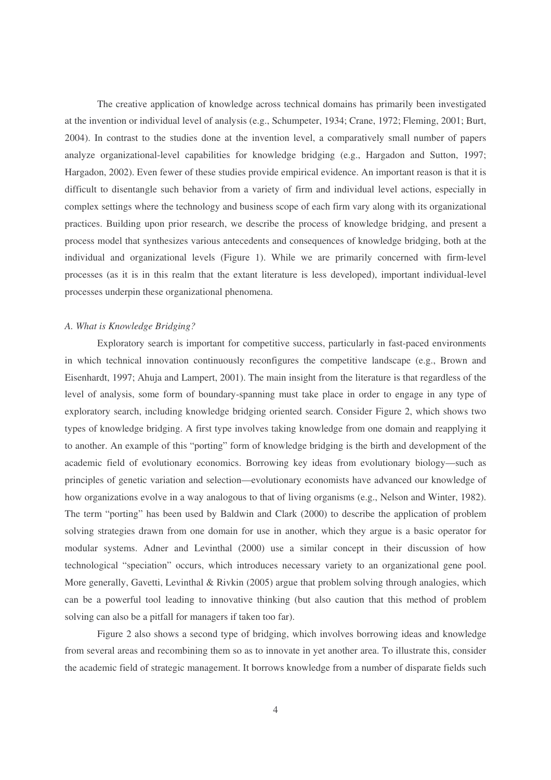The creative application of knowledge across technical domains has primarily been investigated at the invention or individual level of analysis (e.g., Schumpeter, 1934; Crane, 1972; Fleming, 2001; Burt, 2004). In contrast to the studies done at the invention level, a comparatively small number of papers analyze organizational-level capabilities for knowledge bridging (e.g., Hargadon and Sutton, 1997; Hargadon, 2002). Even fewer of these studies provide empirical evidence. An important reason is that it is difficult to disentangle such behavior from a variety of firm and individual level actions, especially in complex settings where the technology and business scope of each firm vary along with its organizational practices. Building upon prior research, we describe the process of knowledge bridging, and present a process model that synthesizes various antecedents and consequences of knowledge bridging, both at the individual and organizational levels (Figure 1). While we are primarily concerned with firm-level processes (as it is in this realm that the extant literature is less developed), important individual-level processes underpin these organizational phenomena.

#### *A. What is Knowledge Bridging?*

Exploratory search is important for competitive success, particularly in fast-paced environments in which technical innovation continuously reconfigures the competitive landscape (e.g., Brown and Eisenhardt, 1997; Ahuja and Lampert, 2001). The main insight from the literature is that regardless of the level of analysis, some form of boundary-spanning must take place in order to engage in any type of exploratory search, including knowledge bridging oriented search. Consider Figure 2, which shows two types of knowledge bridging. A first type involves taking knowledge from one domain and reapplying it to another. An example of this "porting" form of knowledge bridging is the birth and development of the academic field of evolutionary economics. Borrowing key ideas from evolutionary biology—such as principles of genetic variation and selection—evolutionary economists have advanced our knowledge of how organizations evolve in a way analogous to that of living organisms (e.g., Nelson and Winter, 1982). The term "porting" has been used by Baldwin and Clark (2000) to describe the application of problem solving strategies drawn from one domain for use in another, which they argue is a basic operator for modular systems. Adner and Levinthal (2000) use a similar concept in their discussion of how technological "speciation" occurs, which introduces necessary variety to an organizational gene pool. More generally, Gavetti, Levinthal & Rivkin (2005) argue that problem solving through analogies, which can be a powerful tool leading to innovative thinking (but also caution that this method of problem solving can also be a pitfall for managers if taken too far).

Figure 2 also shows a second type of bridging, which involves borrowing ideas and knowledge from several areas and recombining them so as to innovate in yet another area. To illustrate this, consider the academic field of strategic management. It borrows knowledge from a number of disparate fields such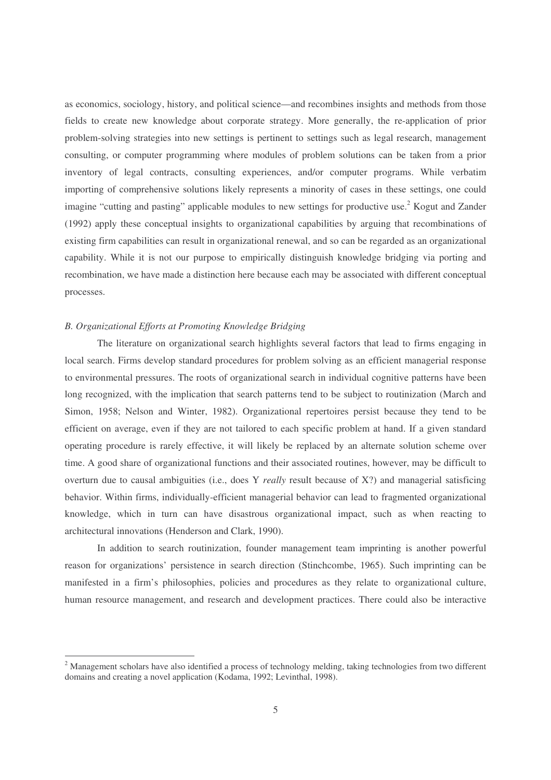as economics, sociology, history, and political science—and recombines insights and methods from those fields to create new knowledge about corporate strategy. More generally, the re-application of prior problem-solving strategies into new settings is pertinent to settings such as legal research, management consulting, or computer programming where modules of problem solutions can be taken from a prior inventory of legal contracts, consulting experiences, and/or computer programs. While verbatim importing of comprehensive solutions likely represents a minority of cases in these settings, one could imagine "cutting and pasting" applicable modules to new settings for productive use.<sup>2</sup> Kogut and Zander (1992) apply these conceptual insights to organizational capabilities by arguing that recombinations of existing firm capabilities can result in organizational renewal, and so can be regarded as an organizational capability. While it is not our purpose to empirically distinguish knowledge bridging via porting and recombination, we have made a distinction here because each may be associated with different conceptual processes.

#### *B. Organizational Efforts at Promoting Knowledge Bridging*

The literature on organizational search highlights several factors that lead to firms engaging in local search. Firms develop standard procedures for problem solving as an efficient managerial response to environmental pressures. The roots of organizational search in individual cognitive patterns have been long recognized, with the implication that search patterns tend to be subject to routinization (March and Simon, 1958; Nelson and Winter, 1982). Organizational repertoires persist because they tend to be efficient on average, even if they are not tailored to each specific problem at hand. If a given standard operating procedure is rarely effective, it will likely be replaced by an alternate solution scheme over time. A good share of organizational functions and their associated routines, however, may be difficult to overturn due to causal ambiguities (i.e., does Y *really* result because of X?) and managerial satisficing behavior. Within firms, individually-efficient managerial behavior can lead to fragmented organizational knowledge, which in turn can have disastrous organizational impact, such as when reacting to architectural innovations (Henderson and Clark, 1990).

In addition to search routinization, founder management team imprinting is another powerful reason for organizations' persistence in search direction (Stinchcombe, 1965). Such imprinting can be manifested in a firm's philosophies, policies and procedures as they relate to organizational culture, human resource management, and research and development practices. There could also be interactive

<sup>&</sup>lt;sup>2</sup> Management scholars have also identified a process of technology melding, taking technologies from two different domains and creating a novel application (Kodama, 1992; Levinthal, 1998).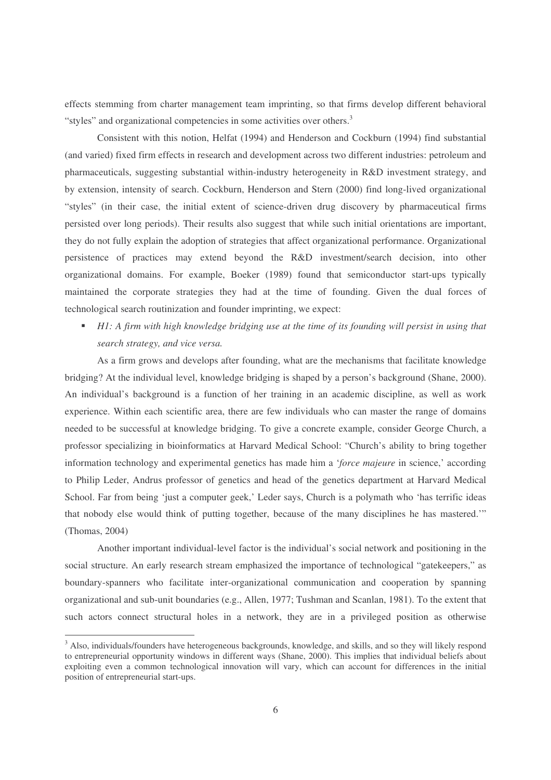effects stemming from charter management team imprinting, so that firms develop different behavioral "styles" and organizational competencies in some activities over others.<sup>3</sup>

Consistent with this notion, Helfat (1994) and Henderson and Cockburn (1994) find substantial (and varied) fixed firm effects in research and development across two different industries: petroleum and pharmaceuticals, suggesting substantial within-industry heterogeneity in R&D investment strategy, and by extension, intensity of search. Cockburn, Henderson and Stern (2000) find long-lived organizational "styles" (in their case, the initial extent of science-driven drug discovery by pharmaceutical firms persisted over long periods). Their results also suggest that while such initial orientations are important, they do not fully explain the adoption of strategies that affect organizational performance. Organizational persistence of practices may extend beyond the R&D investment/search decision, into other organizational domains. For example, Boeker (1989) found that semiconductor start-ups typically maintained the corporate strategies they had at the time of founding. Given the dual forces of technological search routinization and founder imprinting, we expect:

• HI: A firm with high knowledge bridging use at the time of its founding will persist in using that *search strategy, and vice versa.*

As a firm grows and develops after founding, what are the mechanisms that facilitate knowledge bridging? At the individual level, knowledge bridging is shaped by a person's background (Shane, 2000). An individual's background is a function of her training in an academic discipline, as well as work experience. Within each scientific area, there are few individuals who can master the range of domains needed to be successful at knowledge bridging. To give a concrete example, consider George Church, a professor specializing in bioinformatics at Harvard Medical School: "Church's ability to bring together information technology and experimental genetics has made him a '*force majeure* in science,' according to Philip Leder, Andrus professor of genetics and head of the genetics department at Harvard Medical School. Far from being 'just a computer geek,' Leder says, Church is a polymath who 'has terrific ideas that nobody else would think of putting together, because of the many disciplines he has mastered.'" (Thomas, 2004)

Another important individual-level factor is the individual's social network and positioning in the social structure. An early research stream emphasized the importance of technological "gatekeepers," as boundary-spanners who facilitate inter-organizational communication and cooperation by spanning organizational and sub-unit boundaries (e.g., Allen, 1977; Tushman and Scanlan, 1981). To the extent that such actors connect structural holes in a network, they are in a privileged position as otherwise

<sup>&</sup>lt;sup>3</sup> Also, individuals/founders have heterogeneous backgrounds, knowledge, and skills, and so they will likely respond to entrepreneurial opportunity windows in different ways (Shane, 2000). This implies that individual beliefs about exploiting even a common technological innovation will vary, which can account for differences in the initial position of entrepreneurial start-ups.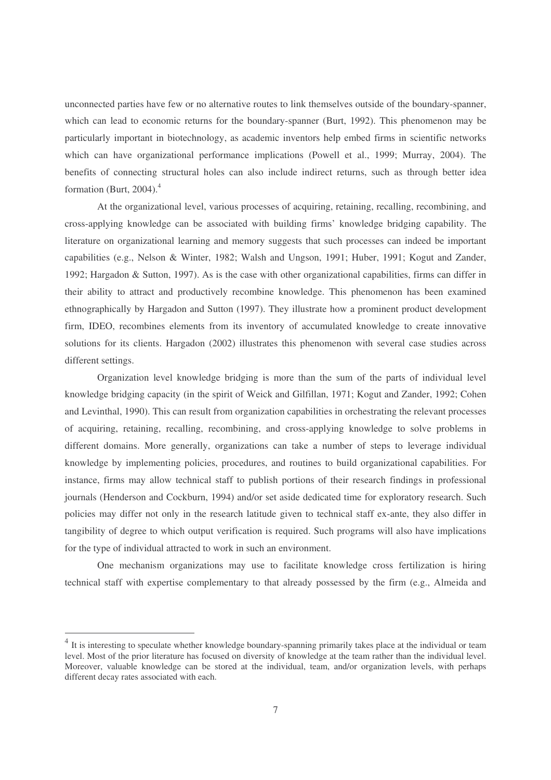unconnected parties have few or no alternative routes to link themselves outside of the boundary-spanner, which can lead to economic returns for the boundary-spanner (Burt, 1992). This phenomenon may be particularly important in biotechnology, as academic inventors help embed firms in scientific networks which can have organizational performance implications (Powell et al., 1999; Murray, 2004). The benefits of connecting structural holes can also include indirect returns, such as through better idea formation (Burt, 2004). 4

At the organizational level, various processes of acquiring, retaining, recalling, recombining, and cross-applying knowledge can be associated with building firms' knowledge bridging capability. The literature on organizational learning and memory suggests that such processes can indeed be important capabilities (e.g., Nelson & Winter, 1982; Walsh and Ungson, 1991; Huber, 1991; Kogut and Zander, 1992; Hargadon & Sutton, 1997). As is the case with other organizational capabilities, firms can differ in their ability to attract and productively recombine knowledge. This phenomenon has been examined ethnographically by Hargadon and Sutton (1997). They illustrate how a prominent product development firm, IDEO, recombines elements from its inventory of accumulated knowledge to create innovative solutions for its clients. Hargadon (2002) illustrates this phenomenon with several case studies across different settings.

Organization level knowledge bridging is more than the sum of the parts of individual level knowledge bridging capacity (in the spirit of Weick and Gilfillan, 1971; Kogut and Zander, 1992; Cohen and Levinthal, 1990). This can result from organization capabilities in orchestrating the relevant processes of acquiring, retaining, recalling, recombining, and cross-applying knowledge to solve problems in different domains. More generally, organizations can take a number of steps to leverage individual knowledge by implementing policies, procedures, and routines to build organizational capabilities. For instance, firms may allow technical staff to publish portions of their research findings in professional journals (Henderson and Cockburn, 1994) and/or set aside dedicated time for exploratory research. Such policies may differ not only in the research latitude given to technical staff ex-ante, they also differ in tangibility of degree to which output verification is required. Such programs will also have implications for the type of individual attracted to work in such an environment.

One mechanism organizations may use to facilitate knowledge cross fertilization is hiring technical staff with expertise complementary to that already possessed by the firm (e.g., Almeida and

<sup>&</sup>lt;sup>4</sup> It is interesting to speculate whether knowledge boundary-spanning primarily takes place at the individual or team level. Most of the prior literature has focused on diversity of knowledge at the team rather than the individual level. Moreover, valuable knowledge can be stored at the individual, team, and/or organization levels, with perhaps different decay rates associated with each.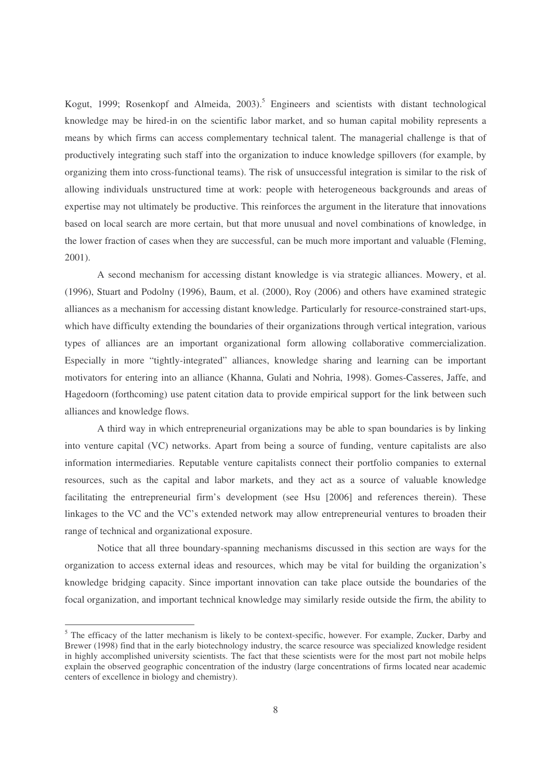Kogut, 1999; Rosenkopf and Almeida, 2003). <sup>5</sup> Engineers and scientists with distant technological knowledge may be hired-in on the scientific labor market, and so human capital mobility represents a means by which firms can access complementary technical talent. The managerial challenge is that of productively integrating such staff into the organization to induce knowledge spillovers (for example, by organizing them into cross-functional teams). The risk of unsuccessful integration is similar to the risk of allowing individuals unstructured time at work: people with heterogeneous backgrounds and areas of expertise may not ultimately be productive. This reinforces the argument in the literature that innovations based on local search are more certain, but that more unusual and novel combinations of knowledge, in the lower fraction of cases when they are successful, can be much more important and valuable (Fleming, 2001).

A second mechanism for accessing distant knowledge is via strategic alliances. Mowery, et al. (1996), Stuart and Podolny (1996), Baum, et al. (2000), Roy (2006) and others have examined strategic alliances as a mechanism for accessing distant knowledge. Particularly for resource-constrained start-ups, which have difficulty extending the boundaries of their organizations through vertical integration, various types of alliances are an important organizational form allowing collaborative commercialization. Especially in more "tightly-integrated" alliances, knowledge sharing and learning can be important motivators for entering into an alliance (Khanna, Gulati and Nohria, 1998). Gomes-Casseres, Jaffe, and Hagedoorn (forthcoming) use patent citation data to provide empirical support for the link between such alliances and knowledge flows.

A third way in which entrepreneurial organizations may be able to span boundaries is by linking into venture capital (VC) networks. Apart from being a source of funding, venture capitalists are also information intermediaries. Reputable venture capitalists connect their portfolio companies to external resources, such as the capital and labor markets, and they act as a source of valuable knowledge facilitating the entrepreneurial firm's development (see Hsu [2006] and references therein). These linkages to the VC and the VC's extended network may allow entrepreneurial ventures to broaden their range of technical and organizational exposure.

Notice that all three boundary-spanning mechanisms discussed in this section are ways for the organization to access external ideas and resources, which may be vital for building the organization's knowledge bridging capacity. Since important innovation can take place outside the boundaries of the focal organization, and important technical knowledge may similarly reside outside the firm, the ability to

<sup>&</sup>lt;sup>5</sup> The efficacy of the latter mechanism is likely to be context-specific, however. For example, Zucker, Darby and Brewer (1998) find that in the early biotechnology industry, the scarce resource was specialized knowledge resident in highly accomplished university scientists. The fact that these scientists were for the most part not mobile helps explain the observed geographic concentration of the industry (large concentrations of firms located near academic centers of excellence in biology and chemistry).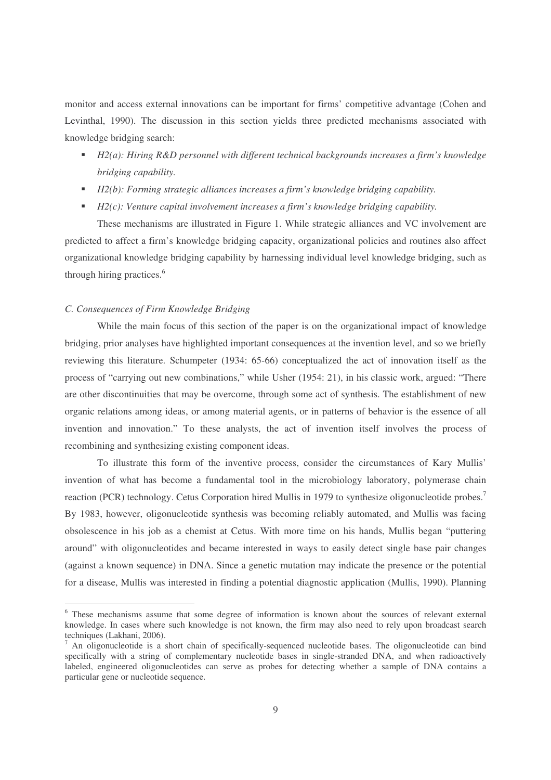monitor and access external innovations can be important for firms' competitive advantage (Cohen and Levinthal, 1990). The discussion in this section yields three predicted mechanisms associated with knowledge bridging search:

- *H2(a): Hiring R&D personnel with different technical backgrounds increases a firm's knowledge bridging capability.*
- *H2(b): Forming strategic alliances increases a firm's knowledge bridging capability.*
- *H2(c): Venture capital involvement increases a firm's knowledge bridging capability.*

These mechanisms are illustrated in Figure 1. While strategic alliances and VC involvement are predicted to affect a firm's knowledge bridging capacity, organizational policies and routines also affect organizational knowledge bridging capability by harnessing individual level knowledge bridging, such as through hiring practices. 6

#### *C. Consequences of Firm Knowledge Bridging*

While the main focus of this section of the paper is on the organizational impact of knowledge bridging, prior analyses have highlighted important consequences at the invention level, and so we briefly reviewing this literature. Schumpeter (1934: 65-66) conceptualized the act of innovation itself as the process of "carrying out new combinations," while Usher (1954: 21), in his classic work, argued: "There are other discontinuities that may be overcome, through some act of synthesis. The establishment of new organic relations among ideas, or among material agents, or in patterns of behavior is the essence of all invention and innovation." To these analysts, the act of invention itself involves the process of recombining and synthesizing existing component ideas.

To illustrate this form of the inventive process, consider the circumstances of Kary Mullis' invention of what has become a fundamental tool in the microbiology laboratory, polymerase chain reaction (PCR) technology. Cetus Corporation hired Mullis in 1979 to synthesize oligonucleotide probes.<sup>7</sup> By 1983, however, oligonucleotide synthesis was becoming reliably automated, and Mullis was facing obsolescence in his job as a chemist at Cetus. With more time on his hands, Mullis began "puttering around" with oligonucleotides and became interested in ways to easily detect single base pair changes (against a known sequence) in DNA. Since a genetic mutation may indicate the presence or the potential for a disease, Mullis was interested in finding a potential diagnostic application (Mullis, 1990). Planning

<sup>&</sup>lt;sup>6</sup> These mechanisms assume that some degree of information is known about the sources of relevant external knowledge. In cases where such knowledge is not known, the firm may also need to rely upon broadcast search techniques (Lakhani, 2006).

An oligonucleotide is a short chain of specifically-sequenced nucleotide bases. The oligonucleotide can bind specifically with a string of complementary nucleotide bases in single-stranded DNA, and when radioactively labeled, engineered oligonucleotides can serve as probes for detecting whether a sample of DNA contains a particular gene or nucleotide sequence.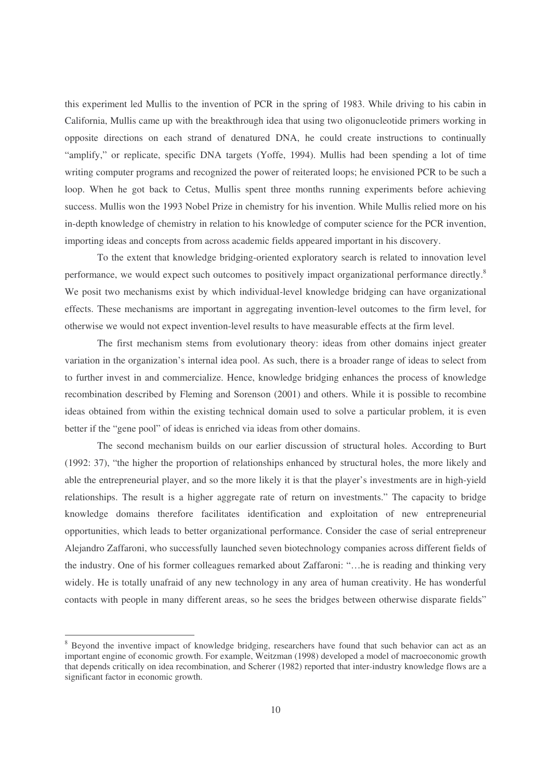this experiment led Mullis to the invention of PCR in the spring of 1983. While driving to his cabin in California, Mullis came up with the breakthrough idea that using two oligonucleotide primers working in opposite directions on each strand of denatured DNA, he could create instructions to continually "amplify," or replicate, specific DNA targets (Yoffe, 1994). Mullis had been spending a lot of time writing computer programs and recognized the power of reiterated loops; he envisioned PCR to be such a loop. When he got back to Cetus, Mullis spent three months running experiments before achieving success. Mullis won the 1993 Nobel Prize in chemistry for his invention. While Mullis relied more on his in-depth knowledge of chemistry in relation to his knowledge of computer science for the PCR invention, importing ideas and concepts from across academic fields appeared important in his discovery.

To the extent that knowledge bridging-oriented exploratory search is related to innovation level performance, we would expect such outcomes to positively impact organizational performance directly.<sup>8</sup> We posit two mechanisms exist by which individual-level knowledge bridging can have organizational effects. These mechanisms are important in aggregating invention-level outcomes to the firm level, for otherwise we would not expect invention-level results to have measurable effects at the firm level.

The first mechanism stems from evolutionary theory: ideas from other domains inject greater variation in the organization's internal idea pool. As such, there is a broader range of ideas to select from to further invest in and commercialize. Hence, knowledge bridging enhances the process of knowledge recombination described by Fleming and Sorenson (2001) and others. While it is possible to recombine ideas obtained from within the existing technical domain used to solve a particular problem, it is even better if the "gene pool" of ideas is enriched via ideas from other domains.

The second mechanism builds on our earlier discussion of structural holes. According to Burt (1992: 37), "the higher the proportion of relationships enhanced by structural holes, the more likely and able the entrepreneurial player, and so the more likely it is that the player's investments are in high-yield relationships. The result is a higher aggregate rate of return on investments." The capacity to bridge knowledge domains therefore facilitates identification and exploitation of new entrepreneurial opportunities, which leads to better organizational performance. Consider the case of serial entrepreneur Alejandro Zaffaroni, who successfully launched seven biotechnology companies across different fields of the industry. One of his former colleagues remarked about Zaffaroni: "…he is reading and thinking very widely. He is totally unafraid of any new technology in any area of human creativity. He has wonderful contacts with people in many different areas, so he sees the bridges between otherwise disparate fields"

<sup>&</sup>lt;sup>8</sup> Beyond the inventive impact of knowledge bridging, researchers have found that such behavior can act as an important engine of economic growth. For example, Weitzman (1998) developed a model of macroeconomic growth that depends critically on idea recombination, and Scherer (1982) reported that inter-industry knowledge flows are a significant factor in economic growth.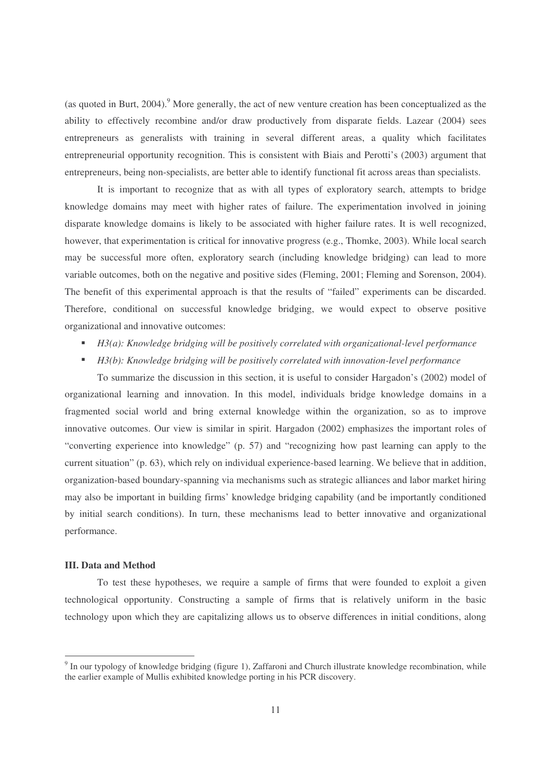(as quoted in Burt, 2004). <sup>9</sup> More generally, the act of new venture creation has been conceptualized as the ability to effectively recombine and/or draw productively from disparate fields. Lazear (2004) sees entrepreneurs as generalists with training in several different areas, a quality which facilitates entrepreneurial opportunity recognition. This is consistent with Biais and Perotti's (2003) argument that entrepreneurs, being non-specialists, are better able to identify functional fit across areas than specialists.

It is important to recognize that as with all types of exploratory search, attempts to bridge knowledge domains may meet with higher rates of failure. The experimentation involved in joining disparate knowledge domains is likely to be associated with higher failure rates. It is well recognized, however, that experimentation is critical for innovative progress (e.g., Thomke, 2003). While local search may be successful more often, exploratory search (including knowledge bridging) can lead to more variable outcomes, both on the negative and positive sides (Fleming, 2001; Fleming and Sorenson, 2004). The benefit of this experimental approach is that the results of "failed" experiments can be discarded. Therefore, conditional on successful knowledge bridging, we would expect to observe positive organizational and innovative outcomes:

- *H3(a): Knowledge bridging will be positively correlated with organizational-level performance*
- *H3(b): Knowledge bridging will be positively correlated with innovation-level performance*

To summarize the discussion in this section, it is useful to consider Hargadon's (2002) model of organizational learning and innovation. In this model, individuals bridge knowledge domains in a fragmented social world and bring external knowledge within the organization, so as to improve innovative outcomes. Our view is similar in spirit. Hargadon (2002) emphasizes the important roles of "converting experience into knowledge" (p. 57) and "recognizing how past learning can apply to the current situation" (p. 63), which rely on individual experience-based learning. We believe that in addition, organization-based boundary-spanning via mechanisms such as strategic alliances and labor market hiring may also be important in building firms' knowledge bridging capability (and be importantly conditioned by initial search conditions). In turn, these mechanisms lead to better innovative and organizational performance.

#### **III. Data and Method**

To test these hypotheses, we require a sample of firms that were founded to exploit a given technological opportunity. Constructing a sample of firms that is relatively uniform in the basic technology upon which they are capitalizing allows us to observe differences in initial conditions, along

<sup>&</sup>lt;sup>9</sup> In our typology of knowledge bridging (figure 1), Zaffaroni and Church illustrate knowledge recombination, while the earlier example of Mullis exhibited knowledge porting in his PCR discovery.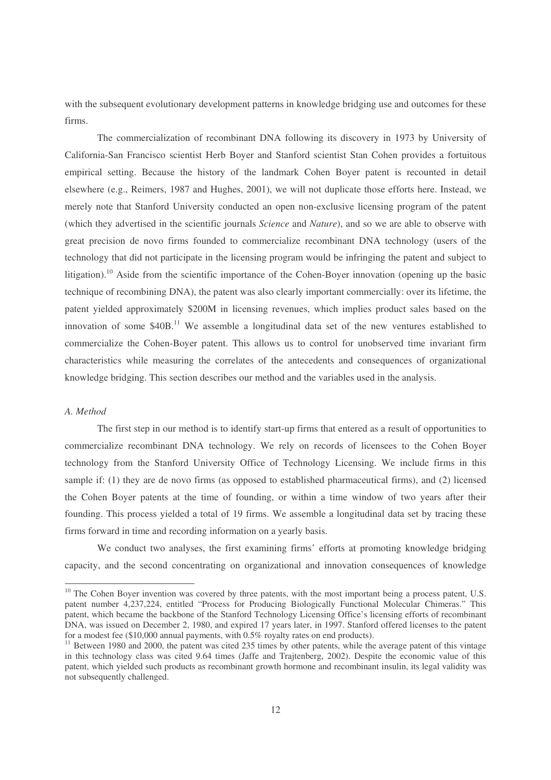with the subsequent evolutionary development patterns in knowledge bridging use and outcomes for these firms.

The commercialization of recombinant DNA following its discovery in 1973 by University of California-San Francisco scientist Herb Boyer and Stanford scientist Stan Cohen provides a fortuitous empirical setting. Because the history of the landmark Cohen Boyer patent is recounted in detail elsewhere (e.g., Reimers, 1987 and Hughes, 2001), we will not duplicate those efforts here. Instead, we merely note that Stanford University conducted an open non-exclusive licensing program of the patent (which they advertised in the scientific journals *Science* and *Nature*), and so we are able to observe with great precision de novo firms founded to commercialize recombinant DNA technology (users of the technology that did not participate in the licensing program would be infringing the patent and subject to litigation).<sup>10</sup> Aside from the scientific importance of the Cohen-Boyer innovation (opening up the basic technique of recombining DNA), the patent was also clearly important commercially: over its lifetime, the patent yielded approximately \$200M in licensing revenues, which implies product sales based on the innovation of some  $$40B<sup>11</sup>$  We assemble a longitudinal data set of the new ventures established to commercialize the Cohen-Boyer patent. This allows us to control for unobserved time invariant firm characteristics while measuring the correlates of the antecedents and consequences of organizational knowledge bridging. This section describes our method and the variables used in the analysis.

#### *A. Method*

The first step in our method is to identify start-up firms that entered as a result of opportunities to commercialize recombinant DNA technology. We rely on records of licensees to the Cohen Boyer technology from the Stanford University Office of Technology Licensing. We include firms in this sample if: (1) they are de novo firms (as opposed to established pharmaceutical firms), and (2) licensed the Cohen Boyer patents at the time of founding, or within a time window of two years after their founding. This process yielded a total of 19 firms. We assemble a longitudinal data set by tracing these firms forward in time and recording information on a yearly basis.

We conduct two analyses, the first examining firms' efforts at promoting knowledge bridging capacity, and the second concentrating on organizational and innovation consequences of knowledge

<sup>&</sup>lt;sup>10</sup> The Cohen Boyer invention was covered by three patents, with the most important being a process patent, U.S. patent number 4,237,224, entitled "Process for Producing Biologically Functional Molecular Chimeras." This patent, which became the backbone of the Stanford Technology Licensing Office's licensing efforts of recombinant DNA, was issued on December 2, 1980, and expired 17 years later, in 1997. Stanford offered licenses to the patent for a modest fee (\$10,000 annual payments, with 0.5% royalty rates on end products).

<sup>&</sup>lt;sup>11</sup> Between 1980 and 2000, the patent was cited 235 times by other patents, while the average patent of this vintage in this technology class was cited 9.64 times (Jaffe and Trajtenberg, 2002). Despite the economic value of this patent, which yielded such products as recombinant growth hormone and recombinant insulin, its legal validity was not subsequently challenged.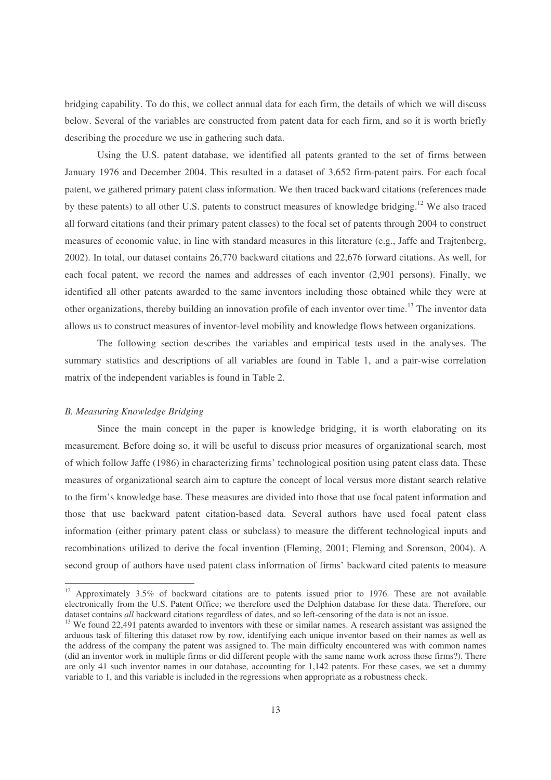bridging capability. To do this, we collect annual data for each firm, the details of which we will discuss below. Several of the variables are constructed from patent data for each firm, and so it is worth briefly describing the procedure we use in gathering such data.

Using the U.S. patent database, we identified all patents granted to the set of firms between January 1976 and December 2004. This resulted in a dataset of 3,652 firm-patent pairs. For each focal patent, we gathered primary patent class information. We then traced backward citations (references made by these patents) to all other U.S. patents to construct measures of knowledge bridging.<sup>12</sup> We also traced all forward citations (and their primary patent classes) to the focal set of patents through 2004 to construct measures of economic value, in line with standard measures in this literature (e.g., Jaffe and Trajtenberg, 2002). In total, our dataset contains 26,770 backward citations and 22,676 forward citations. As well, for each focal patent, we record the names and addresses of each inventor (2,901 persons). Finally, we identified all other patents awarded to the same inventors including those obtained while they were at other organizations, thereby building an innovation profile of each inventor over time.<sup>13</sup> The inventor data allows us to construct measures of inventor-level mobility and knowledge flows between organizations.

The following section describes the variables and empirical tests used in the analyses. The summary statistics and descriptions of all variables are found in Table 1, and a pair-wise correlation matrix of the independent variables is found in Table 2.

#### *B. Measuring Knowledge Bridging*

Since the main concept in the paper is knowledge bridging, it is worth elaborating on its measurement. Before doing so, it will be useful to discuss prior measures of organizational search, most of which follow Jaffe (1986) in characterizing firms' technological position using patent class data. These measures of organizational search aim to capture the concept of local versus more distant search relative to the firm's knowledge base. These measures are divided into those that use focal patent information and those that use backward patent citation-based data. Several authors have used focal patent class information (either primary patent class or subclass) to measure the different technological inputs and recombinations utilized to derive the focal invention (Fleming, 2001; Fleming and Sorenson, 2004). A second group of authors have used patent class information of firms' backward cited patents to measure

<sup>&</sup>lt;sup>12</sup> Approximately 3.5% of backward citations are to patents issued prior to 1976. These are not available electronically from the U.S. Patent Office; we therefore used the Delphion database for these data. Therefore, our dataset contains *all* backward citations regardless of dates, and so left-censoring of the data is not an issue.

<sup>&</sup>lt;sup>13</sup> We found 22,491 patents awarded to inventors with these or similar names. A research assistant was assigned the arduous task of filtering this dataset row by row, identifying each unique inventor based on their names as well as the address of the company the patent was assigned to. The main difficulty encountered was with common names (did an inventor work in multiple firms or did different people with the same name work across those firms?). There are only 41 such inventor names in our database, accounting for 1,142 patents. For these cases, we set a dummy variable to 1, and this variable is included in the regressions when appropriate as a robustness check.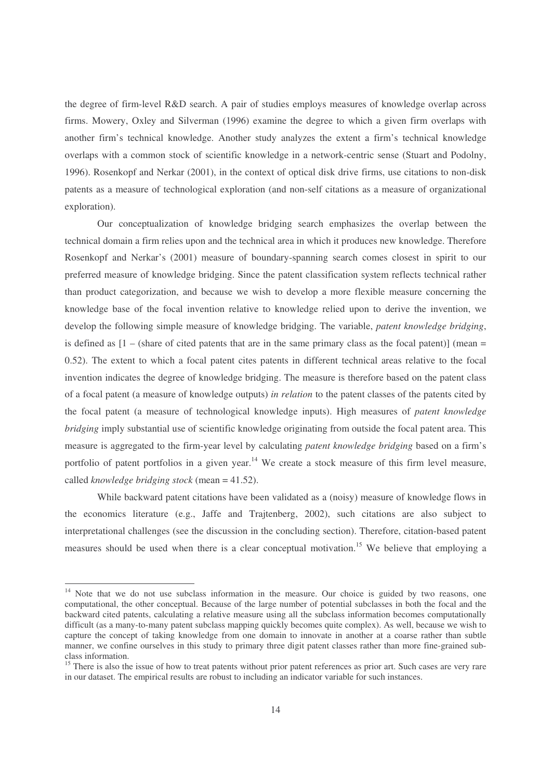the degree of firm-level R&D search. A pair of studies employs measures of knowledge overlap across firms. Mowery, Oxley and Silverman (1996) examine the degree to which a given firm overlaps with another firm's technical knowledge. Another study analyzes the extent a firm's technical knowledge overlaps with a common stock of scientific knowledge in a network-centric sense (Stuart and Podolny, 1996). Rosenkopf and Nerkar (2001), in the context of optical disk drive firms, use citations to non-disk patents as a measure of technological exploration (and non-self citations as a measure of organizational exploration).

Our conceptualization of knowledge bridging search emphasizes the overlap between the technical domain a firm relies upon and the technical area in which it produces new knowledge. Therefore Rosenkopf and Nerkar's (2001) measure of boundary-spanning search comes closest in spirit to our preferred measure of knowledge bridging. Since the patent classification system reflects technical rather than product categorization, and because we wish to develop a more flexible measure concerning the knowledge base of the focal invention relative to knowledge relied upon to derive the invention, we develop the following simple measure of knowledge bridging. The variable, *patent knowledge bridging*, is defined as  $[1 - (share of cited patents that are in the same primary class as the focal patent)] (mean =$ 0.52). The extent to which a focal patent cites patents in different technical areas relative to the focal invention indicates the degree of knowledge bridging. The measure is therefore based on the patent class of a focal patent (a measure of knowledge outputs) *in relation* to the patent classes of the patents cited by the focal patent (a measure of technological knowledge inputs). High measures of *patent knowledge bridging* imply substantial use of scientific knowledge originating from outside the focal patent area. This measure is aggregated to the firm-year level by calculating *patent knowledge bridging* based on a firm's portfolio of patent portfolios in a given year.<sup>14</sup> We create a stock measure of this firm level measure, called *knowledge bridging stock* (mean = 41.52).

While backward patent citations have been validated as a (noisy) measure of knowledge flows in the economics literature (e.g., Jaffe and Trajtenberg, 2002), such citations are also subject to interpretational challenges (see the discussion in the concluding section). Therefore, citation-based patent measures should be used when there is a clear conceptual motivation.<sup>15</sup> We believe that employing a

<sup>&</sup>lt;sup>14</sup> Note that we do not use subclass information in the measure. Our choice is guided by two reasons, one computational, the other conceptual. Because of the large number of potential subclasses in both the focal and the backward cited patents, calculating a relative measure using all the subclass information becomes computationally difficult (as a many-to-many patent subclass mapping quickly becomes quite complex). As well, because we wish to capture the concept of taking knowledge from one domain to innovate in another at a coarse rather than subtle manner, we confine ourselves in this study to primary three digit patent classes rather than more fine-grained subclass information.

<sup>&</sup>lt;sup>15</sup> There is also the issue of how to treat patents without prior patent references as prior art. Such cases are very rare in our dataset. The empirical results are robust to including an indicator variable for such instances.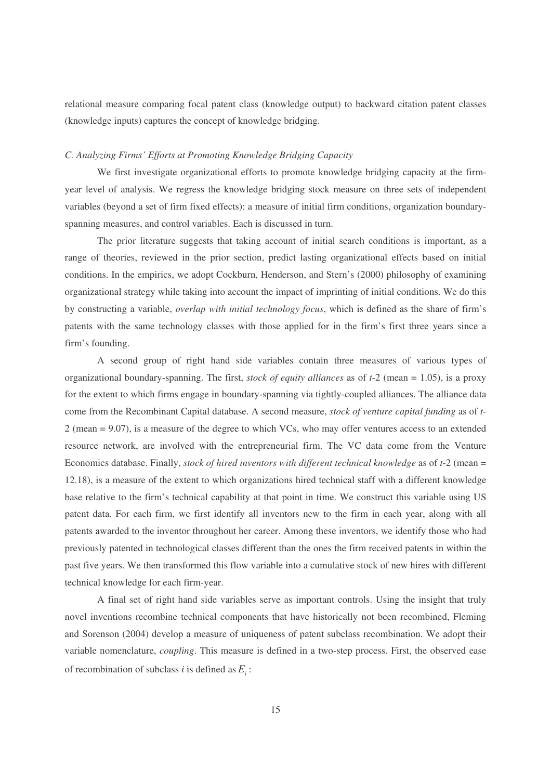relational measure comparing focal patent class (knowledge output) to backward citation patent classes (knowledge inputs) captures the concept of knowledge bridging.

#### *C. Analyzing Firms' Efforts at Promoting Knowledge Bridging Capacity*

We first investigate organizational efforts to promote knowledge bridging capacity at the firmyear level of analysis. We regress the knowledge bridging stock measure on three sets of independent variables (beyond a set of firm fixed effects): a measure of initial firm conditions, organization boundaryspanning measures, and control variables. Each is discussed in turn.

The prior literature suggests that taking account of initial search conditions is important, as a range of theories, reviewed in the prior section, predict lasting organizational effects based on initial conditions. In the empirics, we adopt Cockburn, Henderson, and Stern's (2000) philosophy of examining organizational strategy while taking into account the impact of imprinting of initial conditions. We do this by constructing a variable, *overlap with initial technology focus*, which is defined as the share of firm's patents with the same technology classes with those applied for in the firm's first three years since a firm's founding.

A second group of right hand side variables contain three measures of various types of organizational boundary-spanning. The first, *stock of equity alliances* as of *t*-2 (mean = 1.05), is a proxy for the extent to which firms engage in boundary-spanning via tightly-coupled alliances. The alliance data come from the Recombinant Capital database. A second measure, *stock of venture capital funding* as of *t*-2 (mean = 9.07), is a measure of the degree to which VCs, who may offer ventures access to an extended resource network, are involved with the entrepreneurial firm. The VC data come from the Venture Economics database. Finally, *stock of hired inventors with different technical knowledge* as of *t*-2 (mean = 12.18), is a measure of the extent to which organizations hired technical staff with a different knowledge base relative to the firm's technical capability at that point in time. We construct this variable using US patent data. For each firm, we first identify all inventors new to the firm in each year, along with all patents awarded to the inventor throughout her career. Among these inventors, we identify those who had previously patented in technological classes different than the ones the firm received patents in within the past five years. We then transformed this flow variable into a cumulative stock of new hires with different technical knowledge for each firm-year.

A final set of right hand side variables serve as important controls. Using the insight that truly novel inventions recombine technical components that have historically not been recombined, Fleming and Sorenson (2004) develop a measure of uniqueness of patent subclass recombination. We adopt their variable nomenclature, *coupling*. This measure is defined in a two-step process. First, the observed ease of recombination of subclass *i* is defined as  $E_i$ :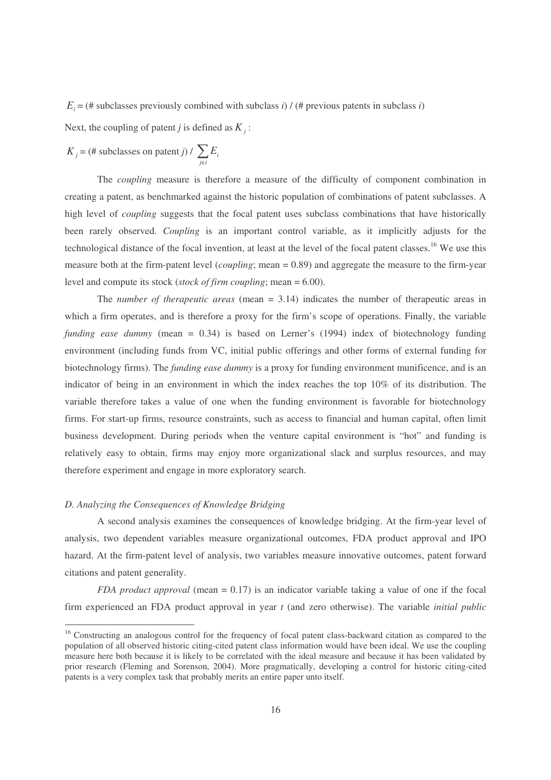$E_i =$  (# subclasses previously combined with subclass *i*) / (# previous patents in subclass *i*)

Next, the coupling of patent *j* is defined as  $K_j$ :

$$
K_j = (\# \text{ subclasses on patent } j) / \sum_{j \in i} E_i
$$

The *coupling* measure is therefore a measure of the difficulty of component combination in creating a patent, as benchmarked against the historic population of combinations of patent subclasses. A high level of *coupling* suggests that the focal patent uses subclass combinations that have historically been rarely observed. *Coupling* is an important control variable, as it implicitly adjusts for the technological distance of the focal invention, at least at the level of the focal patent classes.<sup>16</sup> We use this measure both at the firm-patent level (*coupling*; mean = 0.89) and aggregate the measure to the firm-year level and compute its stock (*stock of firm coupling*; mean = 6.00).

The *number of therapeutic areas* (mean = 3.14) indicates the number of therapeutic areas in which a firm operates, and is therefore a proxy for the firm's scope of operations. Finally, the variable *funding ease dummy* (mean = 0.34) is based on Lerner's (1994) index of biotechnology funding environment (including funds from VC, initial public offerings and other forms of external funding for biotechnology firms). The *funding ease dummy* is a proxy for funding environment munificence, and is an indicator of being in an environment in which the index reaches the top 10% of its distribution. The variable therefore takes a value of one when the funding environment is favorable for biotechnology firms. For start-up firms, resource constraints, such as access to financial and human capital, often limit business development. During periods when the venture capital environment is "hot" and funding is relatively easy to obtain, firms may enjoy more organizational slack and surplus resources, and may therefore experiment and engage in more exploratory search.

#### *D. Analyzing the Consequences of Knowledge Bridging*

A second analysis examines the consequences of knowledge bridging. At the firm-year level of analysis, two dependent variables measure organizational outcomes, FDA product approval and IPO hazard. At the firm-patent level of analysis, two variables measure innovative outcomes, patent forward citations and patent generality.

*FDA product approval* (mean = 0.17) is an indicator variable taking a value of one if the focal firm experienced an FDA product approval in year *t* (and zero otherwise). The variable *initial public*

<sup>&</sup>lt;sup>16</sup> Constructing an analogous control for the frequency of focal patent class-backward citation as compared to the population of all observed historic citing-cited patent class information would have been ideal. We use the coupling measure here both because it is likely to be correlated with the ideal measure and because it has been validated by prior research (Fleming and Sorenson, 2004). More pragmatically, developing a control for historic citing-cited patents is a very complex task that probably merits an entire paper unto itself.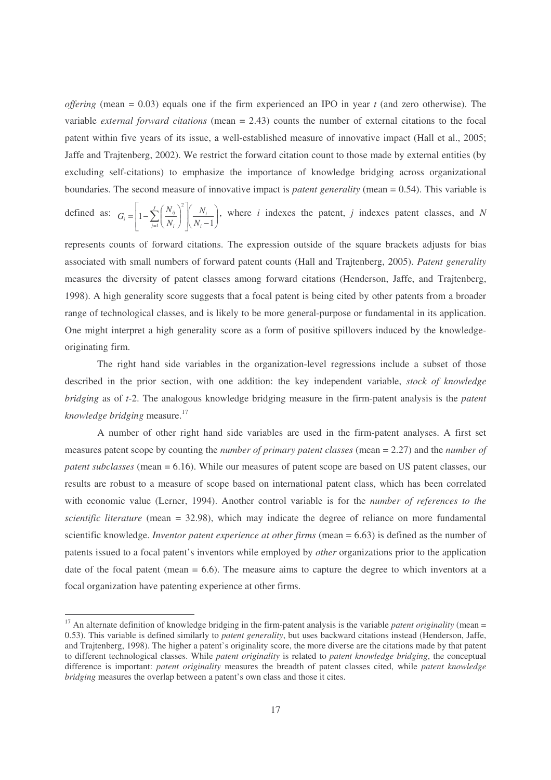*offering* (mean = 0.03) equals one if the firm experienced an IPO in year *t* (and zero otherwise). The variable *external forward citations* (mean = 2.43) counts the number of external citations to the focal patent within five years of its issue, a well-established measure of innovative impact (Hall et al., 2005; Jaffe and Trajtenberg, 2002). We restrict the forward citation count to those made by external entities (by excluding self-citations) to emphasize the importance of knowledge bridging across organizational boundaries. The second measure of innovative impact is *patent generality* (mean = 0.54). This variable is

defined as:  $G_i = \left| 1 - \sum_{j=1}^{j} \left( \frac{N_{ij}}{N_i} \right) \right| \left( \frac{N_i}{N_i - 1} \right)$  $\backslash$  $\parallel$ l ſ  $\mid N_i \overline{\phantom{a}}$ J 1 L  $\mathbb{I}$ L Г  $\int$  $\backslash$  $\overline{\phantom{a}}$ l  $=\left(1-\sum_{j=1}^J\left(\frac{N_{ij}}{N_i}\right)^2\right)\left(\frac{N_i}{N_i-1}\right)$ 2  $1 \setminus I^{\mathbf{v}}$ <sub>*i*</sub>  $\int \bigg\{ I^{\mathbf{v}}$ <sub>*i*</sub>  $\sum_{j}^J\left(\begin{array}{c}N_{ij}\end{array}\right)^2\left(\begin{array}{c}N_i\end{array}\right)$  $j=1$   $\langle V_i$  $\sum_{i}$  =  $1-\sum_{i=1}^{N} \left(\frac{N_{ij}}{N_i}\right)$   $\left(\frac{N}{N}\right)$ *N N*  $G_i = \left(1 - \sum_{i=1}^{J} \left(\frac{N_{ij}}{N}\right)^2 \middle| \left(\frac{N_i}{N}\right)\right)$ , where *i* indexes the patent, *j* indexes patent classes, and *N* 

represents counts of forward citations. The expression outside of the square brackets adjusts for bias associated with small numbers of forward patent counts (Hall and Trajtenberg, 2005). *Patent generality* measures the diversity of patent classes among forward citations (Henderson, Jaffe, and Trajtenberg, 1998). A high generality score suggests that a focal patent is being cited by other patents from a broader range of technological classes, and is likely to be more general-purpose or fundamental in its application. One might interpret a high generality score as a form of positive spillovers induced by the knowledgeoriginating firm.

The right hand side variables in the organization-level regressions include a subset of those described in the prior section, with one addition: the key independent variable, *stock of knowledge bridging* as of *t*-2. The analogous knowledge bridging measure in the firm-patent analysis is the *patent knowledge bridging* measure. 17

A number of other right hand side variables are used in the firm-patent analyses. A first set measures patent scope by counting the *number of primary patent classes* (mean = 2.27) and the *number of patent subclasses* (mean = 6.16). While our measures of patent scope are based on US patent classes, our results are robust to a measure of scope based on international patent class, which has been correlated with economic value (Lerner, 1994). Another control variable is for the *number of references to the scientific literature* (mean = 32.98), which may indicate the degree of reliance on more fundamental scientific knowledge. *Inventor patent experience at other firms* (mean = 6.63) is defined as the number of patents issued to a focal patent's inventors while employed by *other* organizations prior to the application date of the focal patent (mean  $= 6.6$ ). The measure aims to capture the degree to which inventors at a focal organization have patenting experience at other firms.

<sup>&</sup>lt;sup>17</sup> An alternate definition of knowledge bridging in the firm-patent analysis is the variable *patent originality* (mean = 0.53). This variable is defined similarly to *patent generality*, but uses backward citations instead (Henderson, Jaffe, and Trajtenberg, 1998). The higher a patent's originality score, the more diverse are the citations made by that patent to different technological classes. While *patent originality* is related to *patent knowledge bridging*, the conceptual difference is important: *patent originality* measures the breadth of patent classes cited, while *patent knowledge bridging* measures the overlap between a patent's own class and those it cites.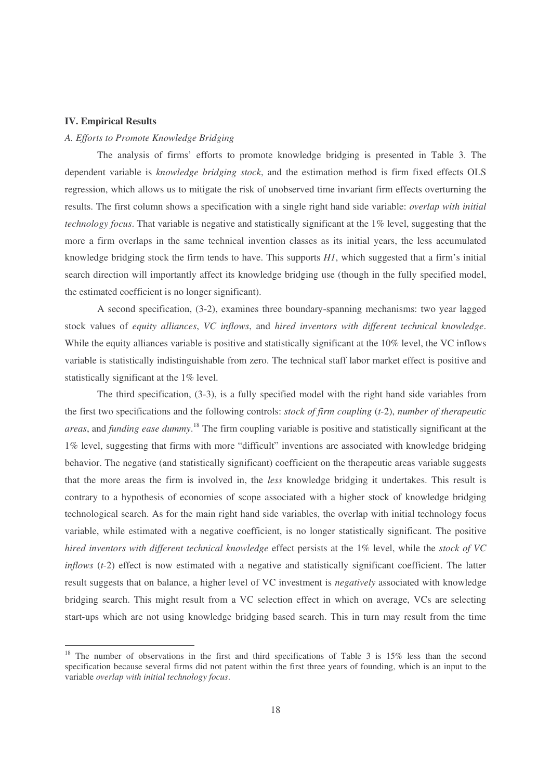#### **IV. Empirical Results**

#### *A. Efforts to Promote Knowledge Bridging*

The analysis of firms' efforts to promote knowledge bridging is presented in Table 3. The dependent variable is *knowledge bridging stock*, and the estimation method is firm fixed effects OLS regression, which allows us to mitigate the risk of unobserved time invariant firm effects overturning the results. The first column shows a specification with a single right hand side variable: *overlap with initial technology focus*. That variable is negative and statistically significant at the 1% level, suggesting that the more a firm overlaps in the same technical invention classes as its initial years, the less accumulated knowledge bridging stock the firm tends to have. This supports *H1*, which suggested that a firm's initial search direction will importantly affect its knowledge bridging use (though in the fully specified model, the estimated coefficient is no longer significant).

A second specification, (3-2), examines three boundary-spanning mechanisms: two year lagged stock values of *equity alliances*, *VC inflows*, and *hired inventors with different technical knowledge*. While the equity alliances variable is positive and statistically significant at the 10% level, the VC inflows variable is statistically indistinguishable from zero. The technical staff labor market effect is positive and statistically significant at the 1% level.

The third specification, (3-3), is a fully specified model with the right hand side variables from the first two specifications and the following controls: *stock of firm coupling* (*t*-2), *number of therapeutic areas*, and *funding ease dummy*. 18 The firm coupling variable is positive and statistically significant at the 1% level, suggesting that firms with more "difficult" inventions are associated with knowledge bridging behavior. The negative (and statistically significant) coefficient on the therapeutic areas variable suggests that the more areas the firm is involved in, the *less* knowledge bridging it undertakes. This result is contrary to a hypothesis of economies of scope associated with a higher stock of knowledge bridging technological search. As for the main right hand side variables, the overlap with initial technology focus variable, while estimated with a negative coefficient, is no longer statistically significant. The positive *hired inventors with different technical knowledge* effect persists at the 1% level, while the *stock of VC inflows* (*t*-2) effect is now estimated with a negative and statistically significant coefficient. The latter result suggests that on balance, a higher level of VC investment is *negatively* associated with knowledge bridging search. This might result from a VC selection effect in which on average, VCs are selecting start-ups which are not using knowledge bridging based search. This in turn may result from the time

<sup>&</sup>lt;sup>18</sup> The number of observations in the first and third specifications of Table 3 is 15% less than the second specification because several firms did not patent within the first three years of founding, which is an input to the variable *overlap with initial technology focus*.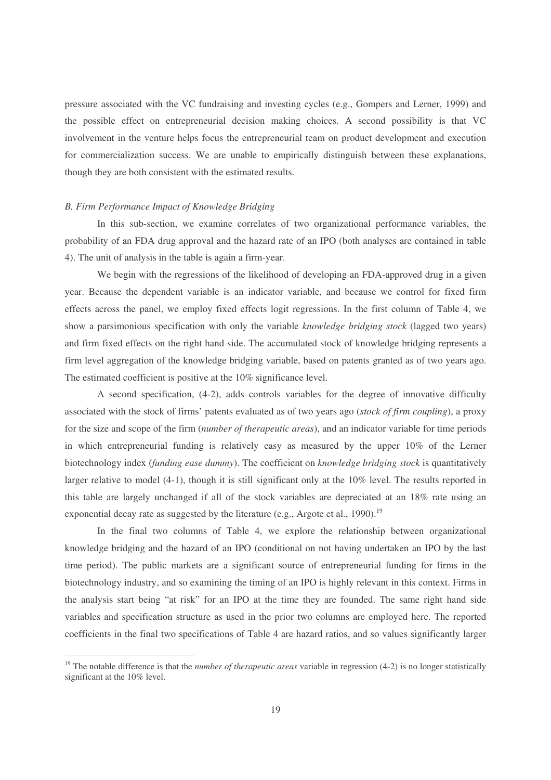pressure associated with the VC fundraising and investing cycles (e.g., Gompers and Lerner, 1999) and the possible effect on entrepreneurial decision making choices. A second possibility is that VC involvement in the venture helps focus the entrepreneurial team on product development and execution for commercialization success. We are unable to empirically distinguish between these explanations, though they are both consistent with the estimated results.

#### *B. Firm Performance Impact of Knowledge Bridging*

In this sub-section, we examine correlates of two organizational performance variables, the probability of an FDA drug approval and the hazard rate of an IPO (both analyses are contained in table 4). The unit of analysis in the table is again a firm-year.

We begin with the regressions of the likelihood of developing an FDA-approved drug in a given year. Because the dependent variable is an indicator variable, and because we control for fixed firm effects across the panel, we employ fixed effects logit regressions. In the first column of Table 4, we show a parsimonious specification with only the variable *knowledge bridging stock* (lagged two years) and firm fixed effects on the right hand side. The accumulated stock of knowledge bridging represents a firm level aggregation of the knowledge bridging variable, based on patents granted as of two years ago. The estimated coefficient is positive at the 10% significance level.

A second specification, (4-2), adds controls variables for the degree of innovative difficulty associated with the stock of firms' patents evaluated as of two years ago (*stock of firm coupling*), a proxy for the size and scope of the firm (*number of therapeutic areas*), and an indicator variable for time periods in which entrepreneurial funding is relatively easy as measured by the upper 10% of the Lerner biotechnology index (*funding ease dummy*). The coefficient on *knowledge bridging stock* is quantitatively larger relative to model (4-1), though it is still significant only at the 10% level. The results reported in this table are largely unchanged if all of the stock variables are depreciated at an 18% rate using an exponential decay rate as suggested by the literature (e.g., Argote et al., 1990).<sup>19</sup>

In the final two columns of Table 4, we explore the relationship between organizational knowledge bridging and the hazard of an IPO (conditional on not having undertaken an IPO by the last time period). The public markets are a significant source of entrepreneurial funding for firms in the biotechnology industry, and so examining the timing of an IPO is highly relevant in this context. Firms in the analysis start being "at risk" for an IPO at the time they are founded. The same right hand side variables and specification structure as used in the prior two columns are employed here. The reported coefficients in the final two specifications of Table 4 are hazard ratios, and so values significantly larger

<sup>&</sup>lt;sup>19</sup> The notable difference is that the *number of therapeutic areas* variable in regression (4-2) is no longer statistically significant at the 10% level.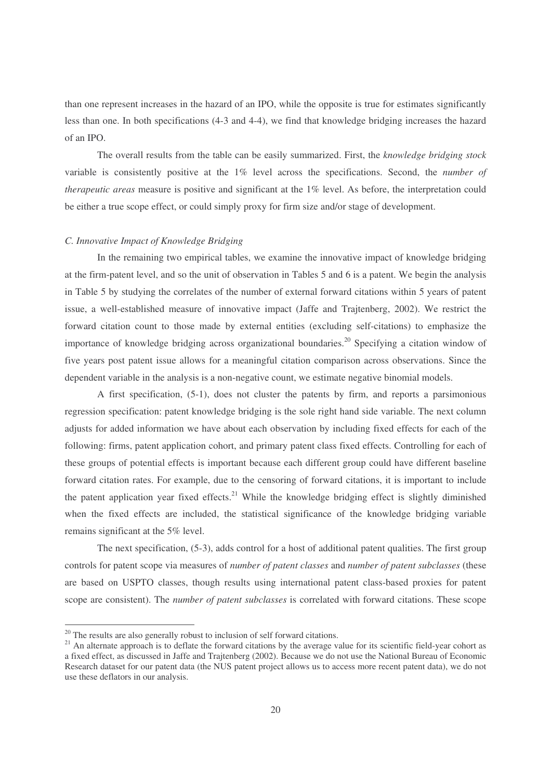than one represent increases in the hazard of an IPO, while the opposite is true for estimates significantly less than one. In both specifications (4-3 and 4-4), we find that knowledge bridging increases the hazard of an IPO.

The overall results from the table can be easily summarized. First, the *knowledge bridging stock* variable is consistently positive at the 1% level across the specifications. Second, the *number of therapeutic areas* measure is positive and significant at the 1% level. As before, the interpretation could be either a true scope effect, or could simply proxy for firm size and/or stage of development.

#### *C. Innovative Impact of Knowledge Bridging*

In the remaining two empirical tables, we examine the innovative impact of knowledge bridging at the firm-patent level, and so the unit of observation in Tables 5 and 6 is a patent. We begin the analysis in Table 5 by studying the correlates of the number of external forward citations within 5 years of patent issue, a well-established measure of innovative impact (Jaffe and Trajtenberg, 2002). We restrict the forward citation count to those made by external entities (excluding self-citations) to emphasize the importance of knowledge bridging across organizational boundaries. 20 Specifying a citation window of five years post patent issue allows for a meaningful citation comparison across observations. Since the dependent variable in the analysis is a non-negative count, we estimate negative binomial models.

A first specification, (5-1), does not cluster the patents by firm, and reports a parsimonious regression specification: patent knowledge bridging is the sole right hand side variable. The next column adjusts for added information we have about each observation by including fixed effects for each of the following: firms, patent application cohort, and primary patent class fixed effects. Controlling for each of these groups of potential effects is important because each different group could have different baseline forward citation rates. For example, due to the censoring of forward citations, it is important to include the patent application year fixed effects.<sup>21</sup> While the knowledge bridging effect is slightly diminished when the fixed effects are included, the statistical significance of the knowledge bridging variable remains significant at the 5% level.

The next specification, (5-3), adds control for a host of additional patent qualities. The first group controls for patent scope via measures of *number of patent classes* and *number of patent subclasses* (these are based on USPTO classes, though results using international patent class-based proxies for patent scope are consistent). The *number of patent subclasses* is correlated with forward citations. These scope

<sup>&</sup>lt;sup>20</sup> The results are also generally robust to inclusion of self forward citations.

<sup>&</sup>lt;sup>21</sup> An alternate approach is to deflate the forward citations by the average value for its scientific field-year cohort as a fixed effect, as discussed in Jaffe and Trajtenberg (2002). Because we do not use the National Bureau of Economic Research dataset for our patent data (the NUS patent project allows us to access more recent patent data), we do not use these deflators in our analysis.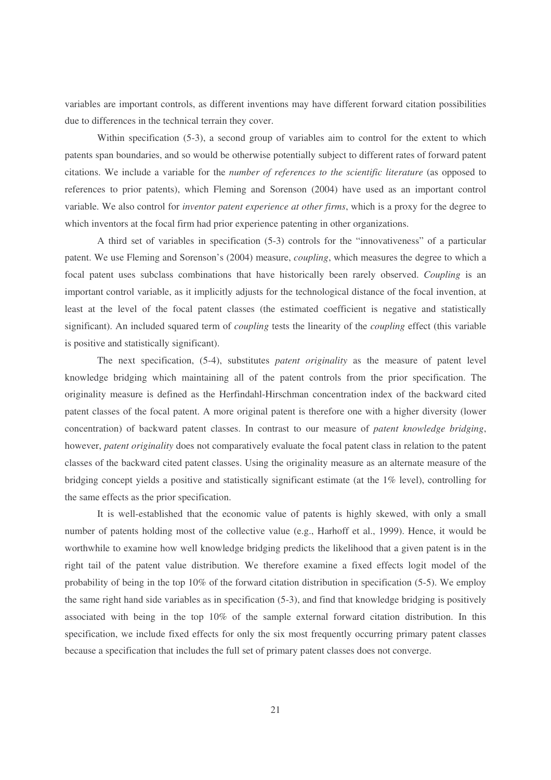variables are important controls, as different inventions may have different forward citation possibilities due to differences in the technical terrain they cover.

Within specification (5-3), a second group of variables aim to control for the extent to which patents span boundaries, and so would be otherwise potentially subject to different rates of forward patent citations. We include a variable for the *number of references to the scientific literature* (as opposed to references to prior patents), which Fleming and Sorenson (2004) have used as an important control variable. We also control for *inventor patent experience at other firms*, which is a proxy for the degree to which inventors at the focal firm had prior experience patenting in other organizations.

A third set of variables in specification (5-3) controls for the "innovativeness" of a particular patent. We use Fleming and Sorenson's (2004) measure, *coupling*, which measures the degree to which a focal patent uses subclass combinations that have historically been rarely observed. *Coupling* is an important control variable, as it implicitly adjusts for the technological distance of the focal invention, at least at the level of the focal patent classes (the estimated coefficient is negative and statistically significant). An included squared term of *coupling* tests the linearity of the *coupling* effect (this variable is positive and statistically significant).

The next specification, (5-4), substitutes *patent originality* as the measure of patent level knowledge bridging which maintaining all of the patent controls from the prior specification. The originality measure is defined as the Herfindahl-Hirschman concentration index of the backward cited patent classes of the focal patent. A more original patent is therefore one with a higher diversity (lower concentration) of backward patent classes. In contrast to our measure of *patent knowledge bridging*, however, *patent originality* does not comparatively evaluate the focal patent class in relation to the patent classes of the backward cited patent classes. Using the originality measure as an alternate measure of the bridging concept yields a positive and statistically significant estimate (at the 1% level), controlling for the same effects as the prior specification.

It is well-established that the economic value of patents is highly skewed, with only a small number of patents holding most of the collective value (e.g., Harhoff et al., 1999). Hence, it would be worthwhile to examine how well knowledge bridging predicts the likelihood that a given patent is in the right tail of the patent value distribution. We therefore examine a fixed effects logit model of the probability of being in the top 10% of the forward citation distribution in specification (5-5). We employ the same right hand side variables as in specification (5-3), and find that knowledge bridging is positively associated with being in the top 10% of the sample external forward citation distribution. In this specification, we include fixed effects for only the six most frequently occurring primary patent classes because a specification that includes the full set of primary patent classes does not converge.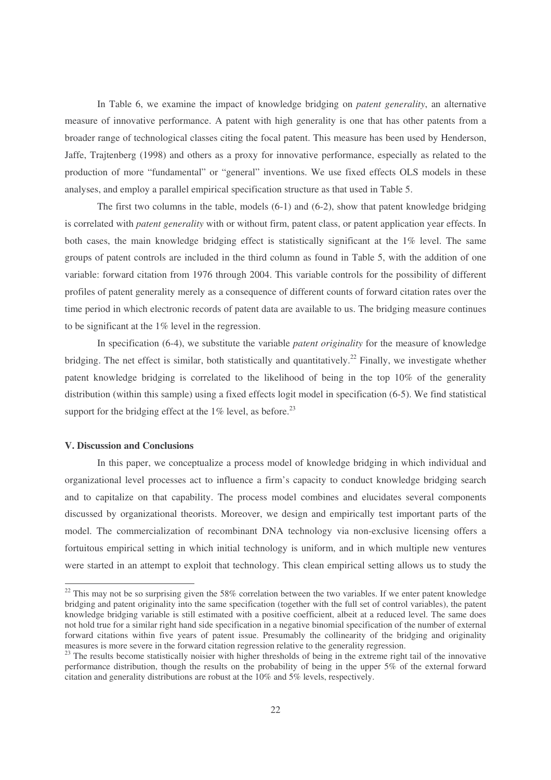In Table 6, we examine the impact of knowledge bridging on *patent generality*, an alternative measure of innovative performance. A patent with high generality is one that has other patents from a broader range of technological classes citing the focal patent. This measure has been used by Henderson, Jaffe, Trajtenberg (1998) and others as a proxy for innovative performance, especially as related to the production of more "fundamental" or "general" inventions. We use fixed effects OLS models in these analyses, and employ a parallel empirical specification structure as that used in Table 5.

The first two columns in the table, models (6-1) and (6-2), show that patent knowledge bridging is correlated with *patent generality* with or without firm, patent class, or patent application year effects. In both cases, the main knowledge bridging effect is statistically significant at the 1% level. The same groups of patent controls are included in the third column as found in Table 5, with the addition of one variable: forward citation from 1976 through 2004. This variable controls for the possibility of different profiles of patent generality merely as a consequence of different counts of forward citation rates over the time period in which electronic records of patent data are available to us. The bridging measure continues to be significant at the 1% level in the regression.

In specification (6-4), we substitute the variable *patent originality* for the measure of knowledge bridging. The net effect is similar, both statistically and quantitatively.<sup>22</sup> Finally, we investigate whether patent knowledge bridging is correlated to the likelihood of being in the top 10% of the generality distribution (within this sample) using a fixed effects logit model in specification (6-5). We find statistical support for the bridging effect at the  $1\%$  level, as before.<sup>23</sup>

#### **V. Discussion and Conclusions**

In this paper, we conceptualize a process model of knowledge bridging in which individual and organizational level processes act to influence a firm's capacity to conduct knowledge bridging search and to capitalize on that capability. The process model combines and elucidates several components discussed by organizational theorists. Moreover, we design and empirically test important parts of the model. The commercialization of recombinant DNA technology via non-exclusive licensing offers a fortuitous empirical setting in which initial technology is uniform, and in which multiple new ventures were started in an attempt to exploit that technology. This clean empirical setting allows us to study the

 $22$  This may not be so surprising given the 58% correlation between the two variables. If we enter patent knowledge bridging and patent originality into the same specification (together with the full set of control variables), the patent knowledge bridging variable is still estimated with a positive coefficient, albeit at a reduced level. The same does not hold true for a similar right hand side specification in a negative binomial specification of the number of external forward citations within five years of patent issue. Presumably the collinearity of the bridging and originality measures is more severe in the forward citation regression relative to the generality regression.

<sup>&</sup>lt;sup>23</sup> The results become statistically noisier with higher thresholds of being in the extreme right tail of the innovative performance distribution, though the results on the probability of being in the upper 5% of the external forward citation and generality distributions are robust at the 10% and 5% levels, respectively.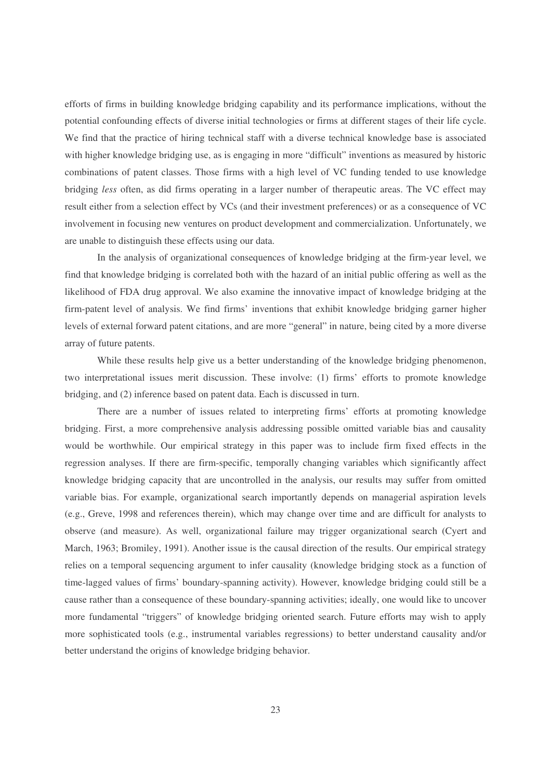efforts of firms in building knowledge bridging capability and its performance implications, without the potential confounding effects of diverse initial technologies or firms at different stages of their life cycle. We find that the practice of hiring technical staff with a diverse technical knowledge base is associated with higher knowledge bridging use, as is engaging in more "difficult" inventions as measured by historic combinations of patent classes. Those firms with a high level of VC funding tended to use knowledge bridging *less* often, as did firms operating in a larger number of therapeutic areas. The VC effect may result either from a selection effect by VCs (and their investment preferences) or as a consequence of VC involvement in focusing new ventures on product development and commercialization. Unfortunately, we are unable to distinguish these effects using our data.

In the analysis of organizational consequences of knowledge bridging at the firm-year level, we find that knowledge bridging is correlated both with the hazard of an initial public offering as well as the likelihood of FDA drug approval. We also examine the innovative impact of knowledge bridging at the firm-patent level of analysis. We find firms' inventions that exhibit knowledge bridging garner higher levels of external forward patent citations, and are more "general" in nature, being cited by a more diverse array of future patents.

While these results help give us a better understanding of the knowledge bridging phenomenon, two interpretational issues merit discussion. These involve: (1) firms' efforts to promote knowledge bridging, and (2) inference based on patent data. Each is discussed in turn.

There are a number of issues related to interpreting firms' efforts at promoting knowledge bridging. First, a more comprehensive analysis addressing possible omitted variable bias and causality would be worthwhile. Our empirical strategy in this paper was to include firm fixed effects in the regression analyses. If there are firm-specific, temporally changing variables which significantly affect knowledge bridging capacity that are uncontrolled in the analysis, our results may suffer from omitted variable bias. For example, organizational search importantly depends on managerial aspiration levels (e.g., Greve, 1998 and references therein), which may change over time and are difficult for analysts to observe (and measure). As well, organizational failure may trigger organizational search (Cyert and March, 1963; Bromiley, 1991). Another issue is the causal direction of the results. Our empirical strategy relies on a temporal sequencing argument to infer causality (knowledge bridging stock as a function of time-lagged values of firms' boundary-spanning activity). However, knowledge bridging could still be a cause rather than a consequence of these boundary-spanning activities; ideally, one would like to uncover more fundamental "triggers" of knowledge bridging oriented search. Future efforts may wish to apply more sophisticated tools (e.g., instrumental variables regressions) to better understand causality and/or better understand the origins of knowledge bridging behavior.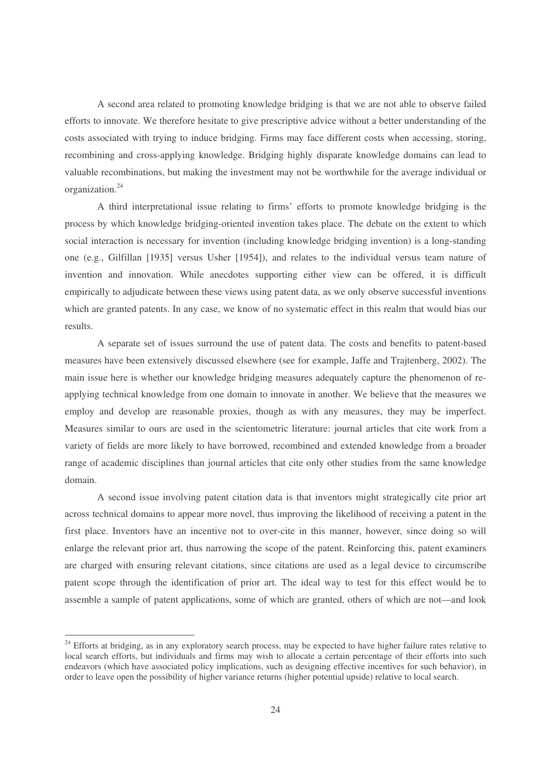A second area related to promoting knowledge bridging is that we are not able to observe failed efforts to innovate. We therefore hesitate to give prescriptive advice without a better understanding of the costs associated with trying to induce bridging. Firms may face different costs when accessing, storing, recombining and cross-applying knowledge. Bridging highly disparate knowledge domains can lead to valuable recombinations, but making the investment may not be worthwhile for the average individual or organization. 24

A third interpretational issue relating to firms' efforts to promote knowledge bridging is the process by which knowledge bridging-oriented invention takes place. The debate on the extent to which social interaction is necessary for invention (including knowledge bridging invention) is a long-standing one (e.g., Gilfillan [1935] versus Usher [1954]), and relates to the individual versus team nature of invention and innovation. While anecdotes supporting either view can be offered, it is difficult empirically to adjudicate between these views using patent data, as we only observe successful inventions which are granted patents. In any case, we know of no systematic effect in this realm that would bias our results.

A separate set of issues surround the use of patent data. The costs and benefits to patent-based measures have been extensively discussed elsewhere (see for example, Jaffe and Trajtenberg, 2002). The main issue here is whether our knowledge bridging measures adequately capture the phenomenon of reapplying technical knowledge from one domain to innovate in another. We believe that the measures we employ and develop are reasonable proxies, though as with any measures, they may be imperfect. Measures similar to ours are used in the scientometric literature: journal articles that cite work from a variety of fields are more likely to have borrowed, recombined and extended knowledge from a broader range of academic disciplines than journal articles that cite only other studies from the same knowledge domain.

A second issue involving patent citation data is that inventors might strategically cite prior art across technical domains to appear more novel, thus improving the likelihood of receiving a patent in the first place. Inventors have an incentive not to over-cite in this manner, however, since doing so will enlarge the relevant prior art, thus narrowing the scope of the patent. Reinforcing this, patent examiners are charged with ensuring relevant citations, since citations are used as a legal device to circumscribe patent scope through the identification of prior art. The ideal way to test for this effect would be to assemble a sample of patent applications, some of which are granted, others of which are not—and look

<sup>&</sup>lt;sup>24</sup> Efforts at bridging, as in any exploratory search process, may be expected to have higher failure rates relative to local search efforts, but individuals and firms may wish to allocate a certain percentage of their efforts into such endeavors (which have associated policy implications, such as designing effective incentives for such behavior), in order to leave open the possibility of higher variance returns (higher potential upside) relative to local search.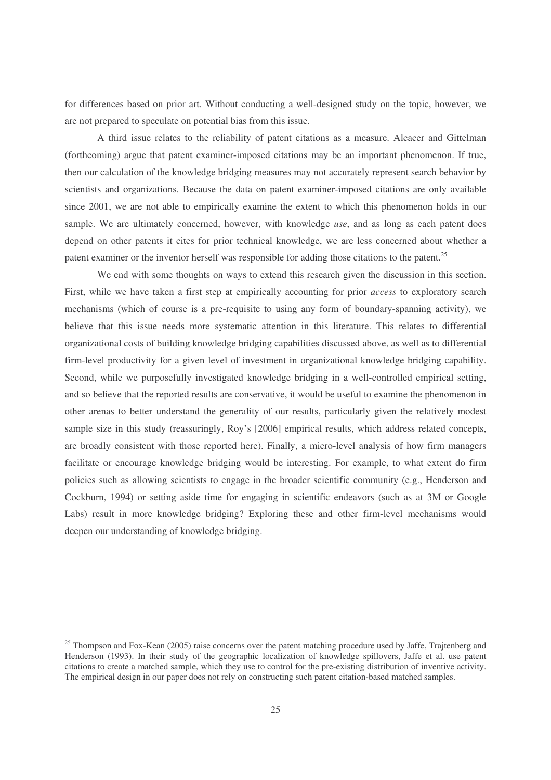for differences based on prior art. Without conducting a well-designed study on the topic, however, we are not prepared to speculate on potential bias from this issue.

A third issue relates to the reliability of patent citations as a measure. Alcacer and Gittelman (forthcoming) argue that patent examiner-imposed citations may be an important phenomenon. If true, then our calculation of the knowledge bridging measures may not accurately represent search behavior by scientists and organizations. Because the data on patent examiner-imposed citations are only available since 2001, we are not able to empirically examine the extent to which this phenomenon holds in our sample. We are ultimately concerned, however, with knowledge *use*, and as long as each patent does depend on other patents it cites for prior technical knowledge, we are less concerned about whether a patent examiner or the inventor herself was responsible for adding those citations to the patent.<sup>25</sup>

We end with some thoughts on ways to extend this research given the discussion in this section. First, while we have taken a first step at empirically accounting for prior *access* to exploratory search mechanisms (which of course is a pre-requisite to using any form of boundary-spanning activity), we believe that this issue needs more systematic attention in this literature. This relates to differential organizational costs of building knowledge bridging capabilities discussed above, as well as to differential firm-level productivity for a given level of investment in organizational knowledge bridging capability. Second, while we purposefully investigated knowledge bridging in a well-controlled empirical setting, and so believe that the reported results are conservative, it would be useful to examine the phenomenon in other arenas to better understand the generality of our results, particularly given the relatively modest sample size in this study (reassuringly, Roy's [2006] empirical results, which address related concepts, are broadly consistent with those reported here). Finally, a micro-level analysis of how firm managers facilitate or encourage knowledge bridging would be interesting. For example, to what extent do firm policies such as allowing scientists to engage in the broader scientific community (e.g., Henderson and Cockburn, 1994) or setting aside time for engaging in scientific endeavors (such as at 3M or Google Labs) result in more knowledge bridging? Exploring these and other firm-level mechanisms would deepen our understanding of knowledge bridging.

<sup>&</sup>lt;sup>25</sup> Thompson and Fox-Kean (2005) raise concerns over the patent matching procedure used by Jaffe, Trajtenberg and Henderson (1993). In their study of the geographic localization of knowledge spillovers, Jaffe et al. use patent citations to create a matched sample, which they use to control for the pre-existing distribution of inventive activity. The empirical design in our paper does not rely on constructing such patent citation-based matched samples.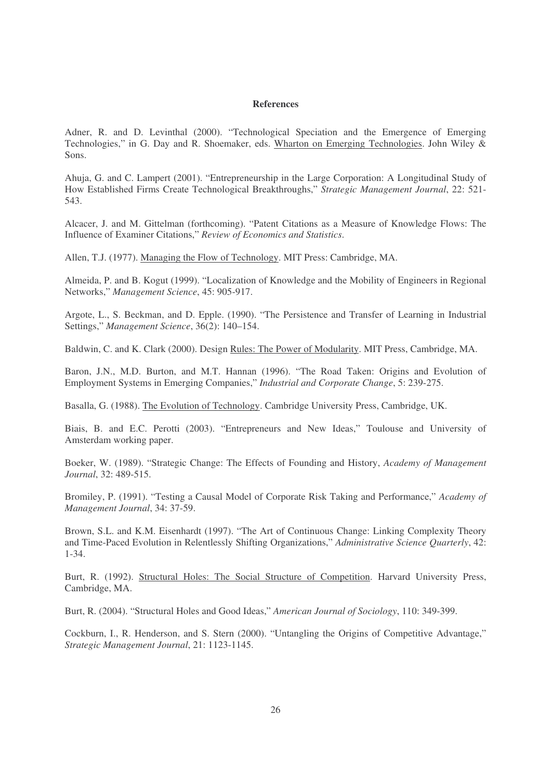#### **References**

Adner, R. and D. Levinthal (2000). "Technological Speciation and the Emergence of Emerging Technologies," in G. Day and R. Shoemaker, eds. Wharton on Emerging Technologies. John Wiley & Sons.

Ahuja, G. and C. Lampert (2001). "Entrepreneurship in the Large Corporation: A Longitudinal Study of How Established Firms Create Technological Breakthroughs," *Strategic Management Journal*, 22: 521- 543.

Alcacer, J. and M. Gittelman (forthcoming). "Patent Citations as a Measure of Knowledge Flows: The Influence of Examiner Citations," *Review of Economics and Statistics*.

Allen, T.J. (1977). Managing the Flow of Technology. MIT Press: Cambridge, MA.

Almeida, P. and B. Kogut (1999). "Localization of Knowledge and the Mobility of Engineers in Regional Networks," *Management Science*, 45: 905-917.

Argote, L., S. Beckman, and D. Epple. (1990). "The Persistence and Transfer of Learning in Industrial Settings," *Management Science*, 36(2): 140–154.

Baldwin, C. and K. Clark (2000). Design Rules: The Power of Modularity. MIT Press, Cambridge, MA.

Baron, J.N., M.D. Burton, and M.T. Hannan (1996). "The Road Taken: Origins and Evolution of Employment Systems in Emerging Companies," *Industrial and Corporate Change*, 5: 239-275.

Basalla, G. (1988). The Evolution of Technology. Cambridge University Press, Cambridge, UK.

Biais, B. and E.C. Perotti (2003). "Entrepreneurs and New Ideas," Toulouse and University of Amsterdam working paper.

Boeker, W. (1989). "Strategic Change: The Effects of Founding and History, *Academy of Management Journal*, 32: 489-515.

Bromiley, P. (1991). "Testing a Causal Model of Corporate Risk Taking and Performance," *Academy of Management Journal*, 34: 37-59.

Brown, S.L. and K.M. Eisenhardt (1997). "The Art of Continuous Change: Linking Complexity Theory and Time-Paced Evolution in Relentlessly Shifting Organizations," *Administrative Science Quarterly*, 42: 1-34.

Burt, R. (1992). Structural Holes: The Social Structure of Competition. Harvard University Press, Cambridge, MA.

Burt, R. (2004). "Structural Holes and Good Ideas," *American Journal of Sociology*, 110: 349-399.

Cockburn, I., R. Henderson, and S. Stern (2000). "Untangling the Origins of Competitive Advantage," *Strategic Management Journal*, 21: 1123-1145.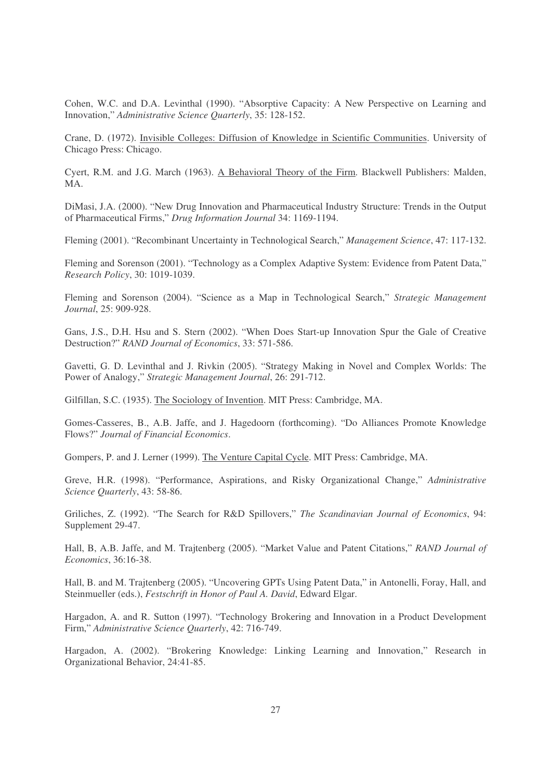Cohen, W.C. and D.A. Levinthal (1990). "Absorptive Capacity: A New Perspective on Learning and Innovation," *Administrative Science Quarterly*, 35: 128-152.

Crane, D. (1972). Invisible Colleges: Diffusion of Knowledge in Scientific Communities. University of Chicago Press: Chicago.

Cyert, R.M. and J.G. March (1963). A Behavioral Theory of the Firm. Blackwell Publishers: Malden, MA.

DiMasi, J.A. (2000). "New Drug Innovation and Pharmaceutical Industry Structure: Trends in the Output of Pharmaceutical Firms," *Drug Information Journal* 34: 1169-1194.

Fleming (2001). "Recombinant Uncertainty in Technological Search," *Management Science*, 47: 117-132.

Fleming and Sorenson (2001). "Technology as a Complex Adaptive System: Evidence from Patent Data," *Research Policy*, 30: 1019-1039.

Fleming and Sorenson (2004). "Science as a Map in Technological Search," *Strategic Management Journal*, 25: 909-928.

Gans, J.S., D.H. Hsu and S. Stern (2002). "When Does Start-up Innovation Spur the Gale of Creative Destruction?" *RAND Journal of Economics*, 33: 571-586.

Gavetti, G. D. Levinthal and J. Rivkin (2005). "Strategy Making in Novel and Complex Worlds: The Power of Analogy," *Strategic Management Journal*, 26: 291-712.

Gilfillan, S.C. (1935). The Sociology of Invention. MIT Press: Cambridge, MA.

Gomes-Casseres, B., A.B. Jaffe, and J. Hagedoorn (forthcoming). "Do Alliances Promote Knowledge Flows?" *Journal of Financial Economics*.

Gompers, P. and J. Lerner (1999). The Venture Capital Cycle. MIT Press: Cambridge, MA.

Greve, H.R. (1998). "Performance, Aspirations, and Risky Organizational Change," *Administrative Science Quarterly*, 43: 58-86.

Griliches, Z. (1992). "The Search for R&D Spillovers," *The Scandinavian Journal of Economics*, 94: Supplement 29-47.

Hall, B, A.B. Jaffe, and M. Trajtenberg (2005). "Market Value and Patent Citations," *RAND Journal of Economics*, 36:16-38.

Hall, B. and M. Trajtenberg (2005). "Uncovering GPTs Using Patent Data," in Antonelli, Foray, Hall, and Steinmueller (eds.), *Festschrift in Honor of Paul A. David*, Edward Elgar.

Hargadon, A. and R. Sutton (1997). "Technology Brokering and Innovation in a Product Development Firm," *Administrative Science Quarterly*, 42: 716-749.

Hargadon, A. (2002). "Brokering Knowledge: Linking Learning and Innovation," Research in Organizational Behavior, 24:41-85.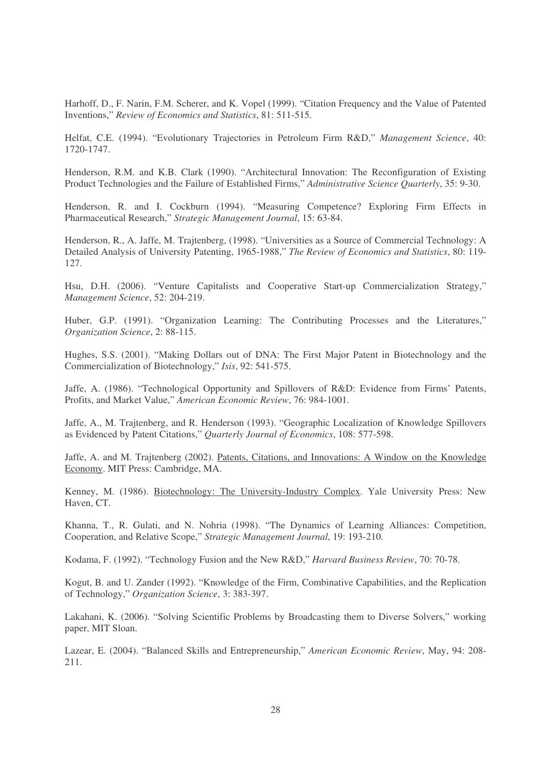Harhoff, D., F. Narin, F.M. Scherer, and K. Vopel (1999). "Citation Frequency and the Value of Patented Inventions," *Review of Economics and Statistics*, 81: 511-515.

Helfat, C.E. (1994). "Evolutionary Trajectories in Petroleum Firm R&D," *Management Science*, 40: 1720-1747.

Henderson, R.M. and K.B. Clark (1990). "Architectural Innovation: The Reconfiguration of Existing Product Technologies and the Failure of Established Firms," *Administrative Science Quarterly*, 35: 9-30.

Henderson, R. and I. Cockburn (1994). "Measuring Competence? Exploring Firm Effects in Pharmaceutical Research," *Strategic Management Journal*, 15: 63-84.

Henderson, R., A. Jaffe, M. Trajtenberg, (1998). "Universities as a Source of Commercial Technology: A Detailed Analysis of University Patenting, 1965-1988," *The Review of Economics and Statistics*, 80: 119- 127.

Hsu, D.H. (2006). "Venture Capitalists and Cooperative Start-up Commercialization Strategy," *Management Science*, 52: 204-219.

Huber, G.P. (1991). "Organization Learning: The Contributing Processes and the Literatures," *Organization Science*, 2: 88-115.

Hughes, S.S. (2001). "Making Dollars out of DNA: The First Major Patent in Biotechnology and the Commercialization of Biotechnology," *Isis*, 92: 541-575.

Jaffe, A. (1986). "Technological Opportunity and Spillovers of R&D: Evidence from Firms' Patents, Profits, and Market Value," *American Economic Review*, 76: 984-1001.

Jaffe, A., M. Trajtenberg, and R. Henderson (1993). "Geographic Localization of Knowledge Spillovers as Evidenced by Patent Citations," *Quarterly Journal of Economics*, 108: 577-598.

Jaffe, A. and M. Trajtenberg (2002). Patents, Citations, and Innovations: A Window on the Knowledge Economy. MIT Press: Cambridge, MA.

Kenney, M. (1986). Biotechnology: The University-Industry Complex. Yale University Press: New Haven, CT.

Khanna, T., R. Gulati, and N. Nohria (1998). "The Dynamics of Learning Alliances: Competition, Cooperation, and Relative Scope," *Strategic Management Journal*, 19: 193-210.

Kodama, F. (1992). "Technology Fusion and the New R&D," *Harvard Business Review*, 70: 70-78.

Kogut, B. and U. Zander (1992). "Knowledge of the Firm, Combinative Capabilities, and the Replication of Technology," *Organization Science*, 3: 383-397.

Lakahani, K. (2006). "Solving Scientific Problems by Broadcasting them to Diverse Solvers," working paper, MIT Sloan.

Lazear, E. (2004). "Balanced Skills and Entrepreneurship," *American Economic Review*, May, 94: 208- 211.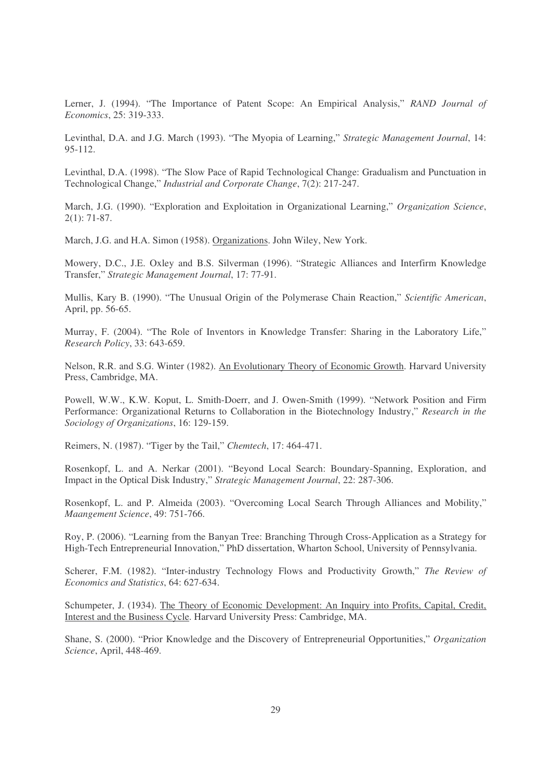Lerner, J. (1994). "The Importance of Patent Scope: An Empirical Analysis," *RAND Journal of Economics*, 25: 319-333.

Levinthal, D.A. and J.G. March (1993). "The Myopia of Learning," *Strategic Management Journal*, 14: 95-112.

Levinthal, D.A. (1998). "The Slow Pace of Rapid Technological Change: Gradualism and Punctuation in Technological Change," *Industrial and Corporate Change*, 7(2): 217-247.

March, J.G. (1990). "Exploration and Exploitation in Organizational Learning," *Organization Science*, 2(1): 71-87.

March, J.G. and H.A. Simon (1958). Organizations. John Wiley, New York.

Mowery, D.C., J.E. Oxley and B.S. Silverman (1996). "Strategic Alliances and Interfirm Knowledge Transfer," *Strategic Management Journal*, 17: 77-91.

Mullis, Kary B. (1990). "The Unusual Origin of the Polymerase Chain Reaction," *Scientific American*, April, pp. 56-65.

Murray, F. (2004). "The Role of Inventors in Knowledge Transfer: Sharing in the Laboratory Life," *Research Policy*, 33: 643-659.

Nelson, R.R. and S.G. Winter (1982). An Evolutionary Theory of Economic Growth. Harvard University Press, Cambridge, MA.

Powell, W.W., K.W. Koput, L. Smith-Doerr, and J. Owen-Smith (1999). "Network Position and Firm Performance: Organizational Returns to Collaboration in the Biotechnology Industry," *Research in the Sociology of Organizations*, 16: 129-159.

Reimers, N. (1987). "Tiger by the Tail," *Chemtech*, 17: 464-471.

Rosenkopf, L. and A. Nerkar (2001). "Beyond Local Search: Boundary-Spanning, Exploration, and Impact in the Optical Disk Industry," *Strategic Management Journal*, 22: 287-306.

Rosenkopf, L. and P. Almeida (2003). "Overcoming Local Search Through Alliances and Mobility," *Maangement Science*, 49: 751-766.

Roy, P. (2006). "Learning from the Banyan Tree: Branching Through Cross-Application as a Strategy for High-Tech Entrepreneurial Innovation," PhD dissertation, Wharton School, University of Pennsylvania.

Scherer, F.M. (1982). "Inter-industry Technology Flows and Productivity Growth," *The Review of Economics and Statistics*, 64: 627-634.

Schumpeter, J. (1934). The Theory of Economic Development: An Inquiry into Profits, Capital, Credit, Interest and the Business Cycle. Harvard University Press: Cambridge, MA.

Shane, S. (2000). "Prior Knowledge and the Discovery of Entrepreneurial Opportunities," *Organization Science*, April, 448-469.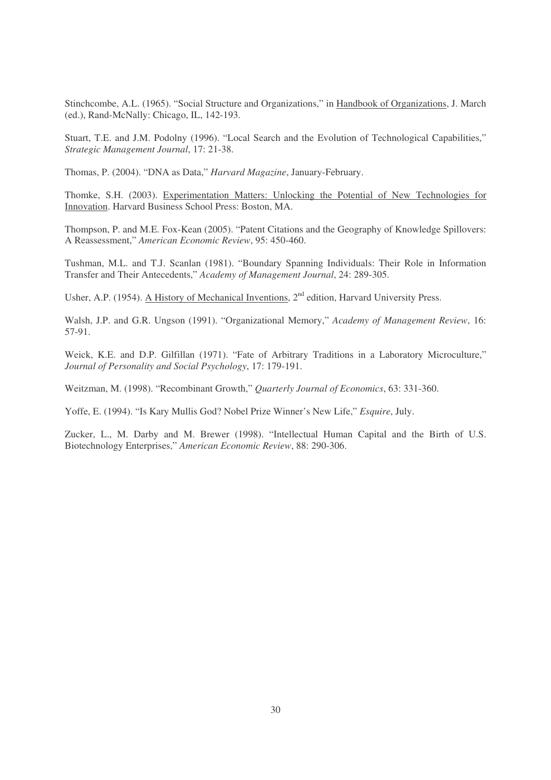Stinchcombe, A.L. (1965). "Social Structure and Organizations," in Handbook of Organizations, J. March (ed.), Rand-McNally: Chicago, IL, 142-193.

Stuart, T.E. and J.M. Podolny (1996). "Local Search and the Evolution of Technological Capabilities," *Strategic Management Journal*, 17: 21-38.

Thomas, P. (2004). "DNA as Data," *Harvard Magazine*, January-February.

Thomke, S.H. (2003). Experimentation Matters: Unlocking the Potential of New Technologies for Innovation. Harvard Business School Press: Boston, MA.

Thompson, P. and M.E. Fox-Kean (2005). "Patent Citations and the Geography of Knowledge Spillovers: A Reassessment," *American Economic Review*, 95: 450-460.

Tushman, M.L. and T.J. Scanlan (1981). "Boundary Spanning Individuals: Their Role in Information Transfer and Their Antecedents," *Academy of Management Journal*, 24: 289-305.

Usher, A.P. (1954). A History of Mechanical Inventions, 2<sup>nd</sup> edition, Harvard University Press.

Walsh, J.P. and G.R. Ungson (1991). "Organizational Memory," *Academy of Management Review*, 16: 57-91.

Weick, K.E. and D.P. Gilfillan (1971). "Fate of Arbitrary Traditions in a Laboratory Microculture," *Journal of Personality and Social Psychology*, 17: 179-191.

Weitzman, M. (1998). "Recombinant Growth," *Quarterly Journal of Economics*, 63: 331-360.

Yoffe, E. (1994). "Is Kary Mullis God? Nobel Prize Winner's New Life," *Esquire*, July.

Zucker, L., M. Darby and M. Brewer (1998). "Intellectual Human Capital and the Birth of U.S. Biotechnology Enterprises," *American Economic Review*, 88: 290-306.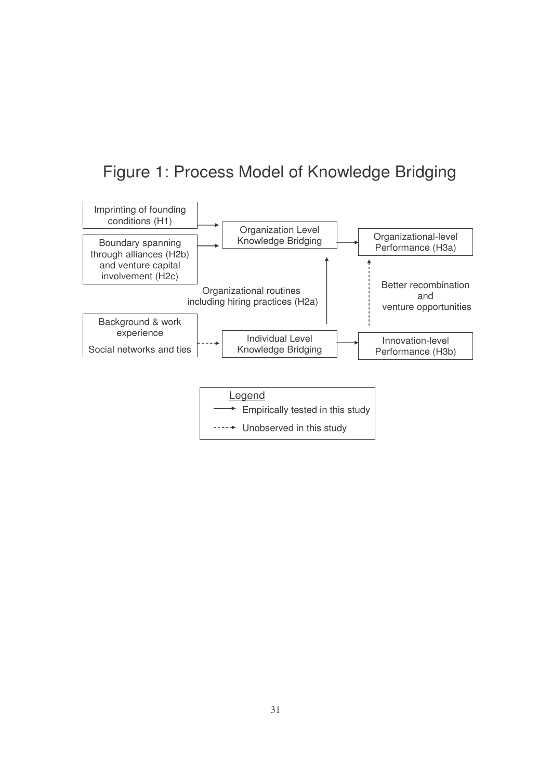## Figure 1: Process Model of Knowledge Bridging

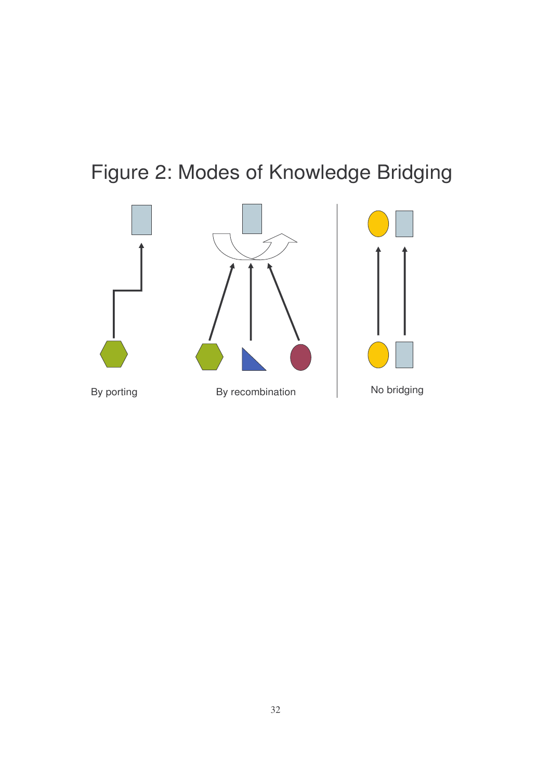# Figure 2: Modes of Knowledge Bridging

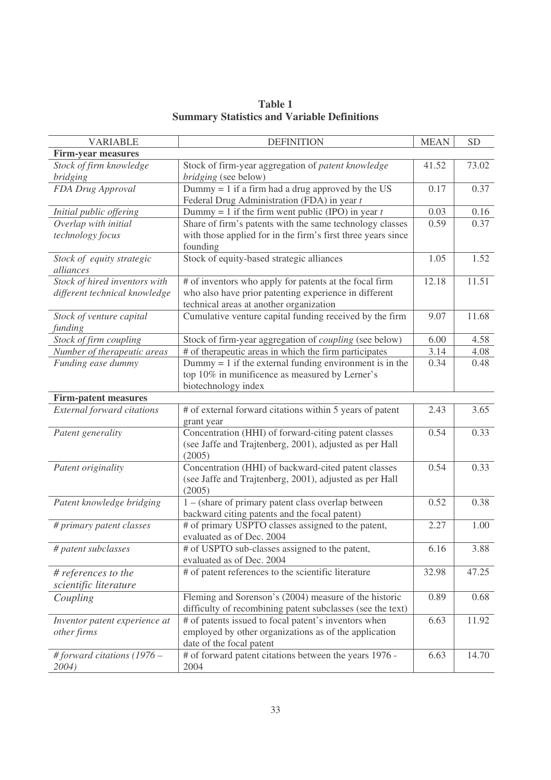| <b>VARIABLE</b>                                                | <b>DEFINITION</b>                                                                                                                                          | <b>MEAN</b> | <b>SD</b> |
|----------------------------------------------------------------|------------------------------------------------------------------------------------------------------------------------------------------------------------|-------------|-----------|
| Firm-year measures                                             |                                                                                                                                                            |             |           |
| Stock of firm knowledge<br><i>bridging</i>                     | Stock of firm-year aggregation of patent knowledge<br>bridging (see below)                                                                                 | 41.52       | 73.02     |
| FDA Drug Approval                                              | Dummy $= 1$ if a firm had a drug approved by the US<br>Federal Drug Administration (FDA) in year t                                                         | 0.17        | 0.37      |
| Initial public offering                                        | Dummy = 1 if the firm went public (IPO) in year $t$                                                                                                        | 0.03        | 0.16      |
| Overlap with initial<br>technology focus                       | Share of firm's patents with the same technology classes<br>with those applied for in the firm's first three years since<br>founding                       | 0.59        | 0.37      |
| Stock of equity strategic<br>alliances                         | Stock of equity-based strategic alliances                                                                                                                  | 1.05        | 1.52      |
| Stock of hired inventors with<br>different technical knowledge | # of inventors who apply for patents at the focal firm<br>who also have prior patenting experience in different<br>technical areas at another organization | 12.18       | 11.51     |
| Stock of venture capital<br>funding                            | Cumulative venture capital funding received by the firm                                                                                                    | 9.07        | 11.68     |
| Stock of firm coupling                                         | Stock of firm-year aggregation of <i>coupling</i> (see below)                                                                                              | 6.00        | 4.58      |
| Number of therapeutic areas                                    | # of therapeutic areas in which the firm participates                                                                                                      | 3.14        | 4.08      |
| Funding ease dummy                                             | Dummy $= 1$ if the external funding environment is in the<br>top 10% in munificence as measured by Lerner's<br>biotechnology index                         | 0.34        | 0.48      |
| Firm-patent measures                                           |                                                                                                                                                            |             |           |
| <b>External forward citations</b>                              | # of external forward citations within 5 years of patent<br>grant year                                                                                     | 2.43        | 3.65      |
| Patent generality                                              | Concentration (HHI) of forward-citing patent classes<br>(see Jaffe and Trajtenberg, 2001), adjusted as per Hall<br>(2005)                                  | 0.54        | 0.33      |
| Patent originality                                             | Concentration (HHI) of backward-cited patent classes<br>(see Jaffe and Trajtenberg, 2001), adjusted as per Hall<br>(2005)                                  | 0.54        | 0.33      |
| Patent knowledge bridging                                      | 1 – (share of primary patent class overlap between<br>backward citing patents and the focal patent)                                                        | 0.52        | 0.38      |
| # primary patent classes                                       | # of primary USPTO classes assigned to the patent,<br>evaluated as of Dec. 2004                                                                            | 2.27        | 1.00      |
| # patent subclasses                                            | # of USPTO sub-classes assigned to the patent,<br>evaluated as of Dec. 2004                                                                                | 6.16        | 3.88      |
| # references to the                                            | # of patent references to the scientific literature                                                                                                        | 32.98       | 47.25     |
| scientific literature                                          |                                                                                                                                                            |             |           |
| Coupling                                                       | Fleming and Sorenson's (2004) measure of the historic<br>difficulty of recombining patent subclasses (see the text)                                        | 0.89        | 0.68      |
| Inventor patent experience at<br>other firms                   | # of patents issued to focal patent's inventors when<br>employed by other organizations as of the application<br>date of the focal patent                  | 6.63        | 11.92     |
| # forward citations $(1976 -$<br>2004)                         | # of forward patent citations between the years 1976 -<br>2004                                                                                             | 6.63        | 14.70     |

**Table 1 Summary Statistics and Variable Definitions**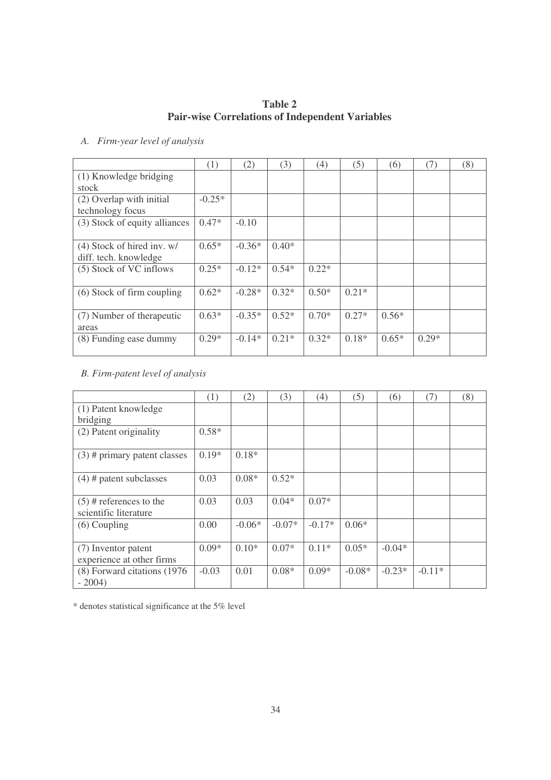## **Table 2 Pair-wise Correlations of Independent Variables**

## *A. Firm-year level of analysis*

|                               | (1)      | (2)      | (3)     | (4)     | (5)     | (6)     | (7)     | (8) |
|-------------------------------|----------|----------|---------|---------|---------|---------|---------|-----|
| (1) Knowledge bridging        |          |          |         |         |         |         |         |     |
| stock                         |          |          |         |         |         |         |         |     |
| (2) Overlap with initial      | $-0.25*$ |          |         |         |         |         |         |     |
| technology focus              |          |          |         |         |         |         |         |     |
| (3) Stock of equity alliances | $0.47*$  | $-0.10$  |         |         |         |         |         |     |
|                               |          |          |         |         |         |         |         |     |
| $(4)$ Stock of hired inv. w/  | $0.65*$  | $-0.36*$ | $0.40*$ |         |         |         |         |     |
| diff. tech. knowledge         |          |          |         |         |         |         |         |     |
| (5) Stock of VC inflows       | $0.25*$  | $-0.12*$ | $0.54*$ | $0.22*$ |         |         |         |     |
|                               |          |          |         |         |         |         |         |     |
| (6) Stock of firm coupling    | $0.62*$  | $-0.28*$ | $0.32*$ | $0.50*$ | $0.21*$ |         |         |     |
|                               |          |          |         |         |         |         |         |     |
| (7) Number of the rapeutic    | $0.63*$  | $-0.35*$ | $0.52*$ | $0.70*$ | $0.27*$ | $0.56*$ |         |     |
| areas                         |          |          |         |         |         |         |         |     |
| (8) Funding ease dummy        | $0.29*$  | $-0.14*$ | $0.21*$ | $0.32*$ | $0.18*$ | $0.65*$ | $0.29*$ |     |
|                               |          |          |         |         |         |         |         |     |

## *B. Firm-patent level of analysis*

|                                         | (1)     | (2)      | (3)      | (4)      | (5)      | (6)      | (7)      | (8) |
|-----------------------------------------|---------|----------|----------|----------|----------|----------|----------|-----|
| (1) Patent knowledge                    |         |          |          |          |          |          |          |     |
| bridging                                |         |          |          |          |          |          |          |     |
| (2) Patent originality                  | $0.58*$ |          |          |          |          |          |          |     |
| $(3)$ # primary patent classes          | $0.19*$ | $0.18*$  |          |          |          |          |          |     |
| $(4)$ # patent subclasses               | 0.03    | $0.08*$  | $0.52*$  |          |          |          |          |     |
| $(5)$ # references to the               | 0.03    | 0.03     | $0.04*$  | $0.07*$  |          |          |          |     |
| scientific literature                   |         |          |          |          |          |          |          |     |
| $(6)$ Coupling                          | 0.00    | $-0.06*$ | $-0.07*$ | $-0.17*$ | $0.06*$  |          |          |     |
| (7) Inventor patent                     | $0.09*$ | $0.10*$  | $0.07*$  | $0.11*$  | $0.05*$  | $-0.04*$ |          |     |
| experience at other firms               |         |          |          |          |          |          |          |     |
| (8) Forward citations (1976)<br>$-2004$ | $-0.03$ | 0.01     | $0.08*$  | $0.09*$  | $-0.08*$ | $-0.23*$ | $-0.11*$ |     |

\* denotes statistical significance at the 5% level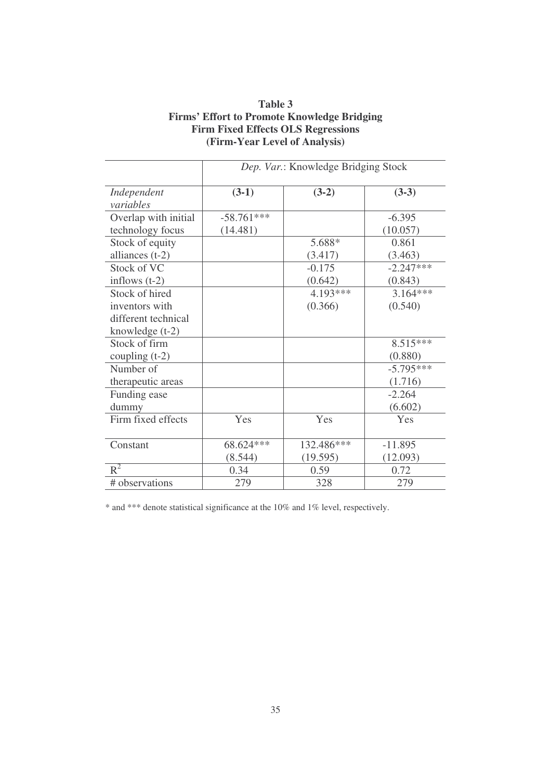|                      | Dep. Var.: Knowledge Bridging Stock |            |             |  |  |  |  |
|----------------------|-------------------------------------|------------|-------------|--|--|--|--|
| Independent          | $(3-1)$                             | $(3-2)$    | $(3-3)$     |  |  |  |  |
| variables            |                                     |            |             |  |  |  |  |
| Overlap with initial | $-58.761***$                        |            | $-6.395$    |  |  |  |  |
| technology focus     | (14.481)                            |            | (10.057)    |  |  |  |  |
| Stock of equity      |                                     | 5.688*     | 0.861       |  |  |  |  |
| alliances $(t-2)$    |                                     | (3.417)    | (3.463)     |  |  |  |  |
| Stock of VC          |                                     | $-0.175$   | $-2.247***$ |  |  |  |  |
| inflows $(t-2)$      |                                     | (0.642)    | (0.843)     |  |  |  |  |
| Stock of hired       |                                     | 4.193***   | $3.164***$  |  |  |  |  |
| inventors with       |                                     | (0.366)    | (0.540)     |  |  |  |  |
| different technical  |                                     |            |             |  |  |  |  |
| knowledge $(t-2)$    |                                     |            |             |  |  |  |  |
| Stock of firm        |                                     |            | 8.515***    |  |  |  |  |
| coupling $(t-2)$     |                                     |            | (0.880)     |  |  |  |  |
| Number of            |                                     |            | $-5.795***$ |  |  |  |  |
| therapeutic areas    |                                     |            | (1.716)     |  |  |  |  |
| Funding ease         |                                     |            | $-2.264$    |  |  |  |  |
| dummy                |                                     |            | (6.602)     |  |  |  |  |
| Firm fixed effects   | Yes                                 | Yes        | Yes         |  |  |  |  |
|                      |                                     |            |             |  |  |  |  |
| Constant             | 68.624 ***                          | 132.486*** | $-11.895$   |  |  |  |  |
|                      | (8.544)                             | (19.595)   | (12.093)    |  |  |  |  |
| $R^2$                | 0.34                                | 0.59       | 0.72        |  |  |  |  |
| # observations       | 279                                 | 328        | 279         |  |  |  |  |

## **Table 3 Firms' Effort to Promote Knowledge Bridging Firm Fixed Effects OLS Regressions (Firm-Year Level of Analysis)**

\* and \*\*\* denote statistical significance at the 10% and 1% level, respectively.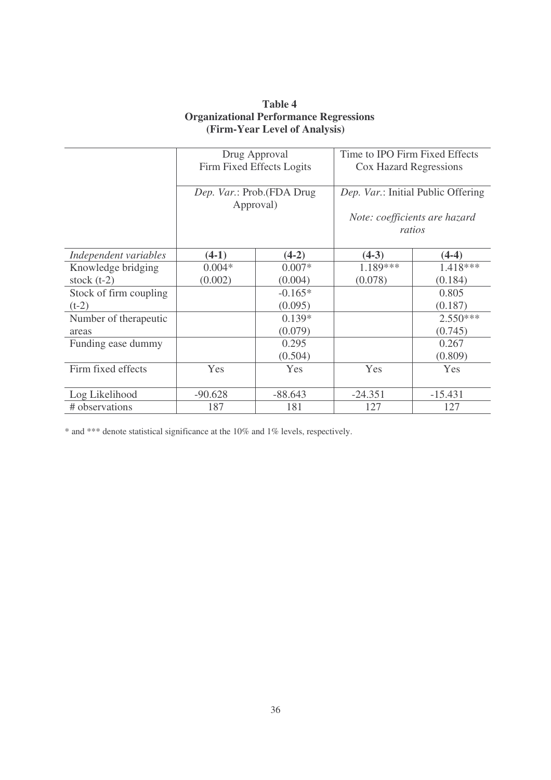| <b>Table 4</b>                                |
|-----------------------------------------------|
| <b>Organizational Performance Regressions</b> |
| (Firm-Year Level of Analysis)                 |

|                        |                           | Drug Approval             | Time to IPO Firm Fixed Effects     |            |  |
|------------------------|---------------------------|---------------------------|------------------------------------|------------|--|
|                        | Firm Fixed Effects Logits |                           | Cox Hazard Regressions             |            |  |
|                        |                           |                           |                                    |            |  |
|                        |                           | Dep. Var.: Prob.(FDA Drug | Dep. Var.: Initial Public Offering |            |  |
|                        | Approval)                 |                           |                                    |            |  |
|                        |                           |                           | Note: coefficients are hazard      |            |  |
|                        |                           |                           |                                    | ratios     |  |
| Independent variables  | $(4-1)$                   | $(4-2)$                   | $(4-3)$                            | $(4-4)$    |  |
| Knowledge bridging     | $0.004*$                  | $0.007*$                  | 1.189***                           | 1.418***   |  |
| stock $(t-2)$          | (0.002)                   | (0.004)                   | (0.078)                            | (0.184)    |  |
| Stock of firm coupling |                           | $-0.165*$                 |                                    | 0.805      |  |
| $(t-2)$                |                           | (0.095)                   |                                    | (0.187)    |  |
| Number of therapeutic  |                           | $0.139*$                  |                                    | $2.550***$ |  |
| areas                  |                           | (0.079)                   |                                    | (0.745)    |  |
| Funding ease dummy     |                           | 0.295                     |                                    | 0.267      |  |
|                        |                           | (0.504)                   |                                    | (0.809)    |  |
| Firm fixed effects     | Yes                       | Yes                       | Yes                                | Yes        |  |
|                        |                           |                           |                                    |            |  |
| Log Likelihood         | $-90.628$                 | $-88.643$                 | $-24.351$                          | $-15.431$  |  |
| # observations         | 187                       | 181                       | 127                                | 127        |  |

\* and \*\*\* denote statistical significance at the 10% and 1% levels, respectively.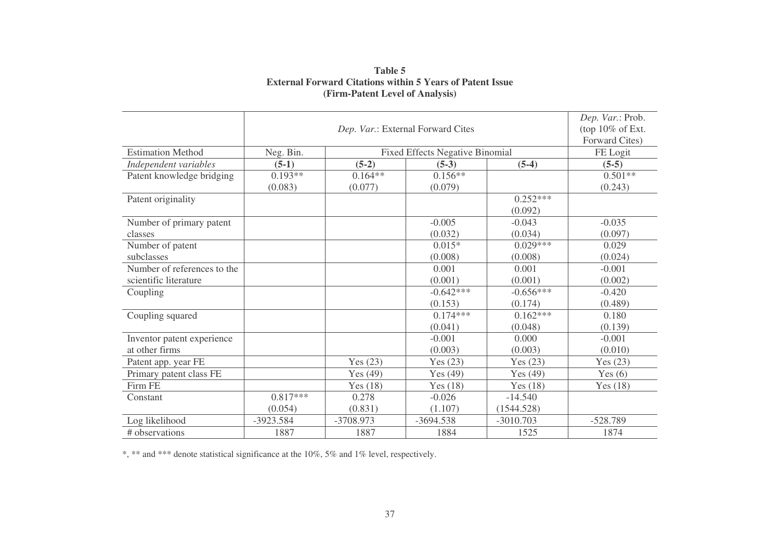|                             |            | Dep. Var.: Prob.    |                                        |             |            |
|-----------------------------|------------|---------------------|----------------------------------------|-------------|------------|
|                             |            | (top $10\%$ of Ext. |                                        |             |            |
|                             |            | Forward Cites)      |                                        |             |            |
| <b>Estimation Method</b>    | Neg. Bin.  |                     | <b>Fixed Effects Negative Binomial</b> |             | FE Logit   |
| Independent variables       | $(5-1)$    | $(5-2)$             | $(5-3)$                                | $(5-4)$     | $(5-5)$    |
| Patent knowledge bridging   | $0.193**$  | $0.164**$           | $0.156**$                              |             | $0.501**$  |
|                             | (0.083)    | (0.077)             | (0.079)                                |             | (0.243)    |
| Patent originality          |            |                     |                                        | $0.252***$  |            |
|                             |            |                     |                                        | (0.092)     |            |
| Number of primary patent    |            |                     | $-0.005$                               | $-0.043$    | $-0.035$   |
| classes                     |            |                     | (0.032)                                | (0.034)     | (0.097)    |
| Number of patent            |            |                     | $0.015*$                               | $0.029***$  | 0.029      |
| subclasses                  |            |                     | (0.008)                                | (0.008)     | (0.024)    |
| Number of references to the |            |                     | 0.001                                  | 0.001       | $-0.001$   |
| scientific literature       |            |                     | (0.001)                                | (0.001)     | (0.002)    |
| Coupling                    |            |                     | $-0.642***$                            | $-0.656***$ | $-0.420$   |
|                             |            |                     | (0.153)                                | (0.174)     | (0.489)    |
| Coupling squared            |            |                     | $0.174***$                             | $0.162***$  | 0.180      |
|                             |            |                     | (0.041)                                | (0.048)     | (0.139)    |
| Inventor patent experience  |            |                     | $-0.001$                               | 0.000       | $-0.001$   |
| at other firms              |            |                     | (0.003)                                | (0.003)     | (0.010)    |
| Patent app. year FE         |            | Yes $(23)$          | Yes $(23)$                             | Yes $(23)$  | Yes $(23)$ |
| Primary patent class FE     |            | Yes $(49)$          | Yes $(49)$                             | Yes $(49)$  | Yes $(6)$  |
| Firm FE                     |            | Yes $(18)$          | Yes $(18)$                             | Yes $(18)$  | Yes $(18)$ |
| Constant                    | $0.817***$ | 0.278               | $-0.026$                               | $-14.540$   |            |
|                             | (0.054)    | (0.831)             | (1.107)                                | (1544.528)  |            |
| Log likelihood              | -3923.584  | -3708.973           | $-3694.538$                            | $-3010.703$ | $-528.789$ |
| # observations              | 1887       | 1887                | 1884                                   | 1525        | 1874       |

**Table 5 External Forward Citations within 5 Years of Patent Issue (Firm-Patent Level of Analysis)**

\* , \*\* and \*\*\* denote statistical significance at the 10%, 5% and 1% level, respectively.